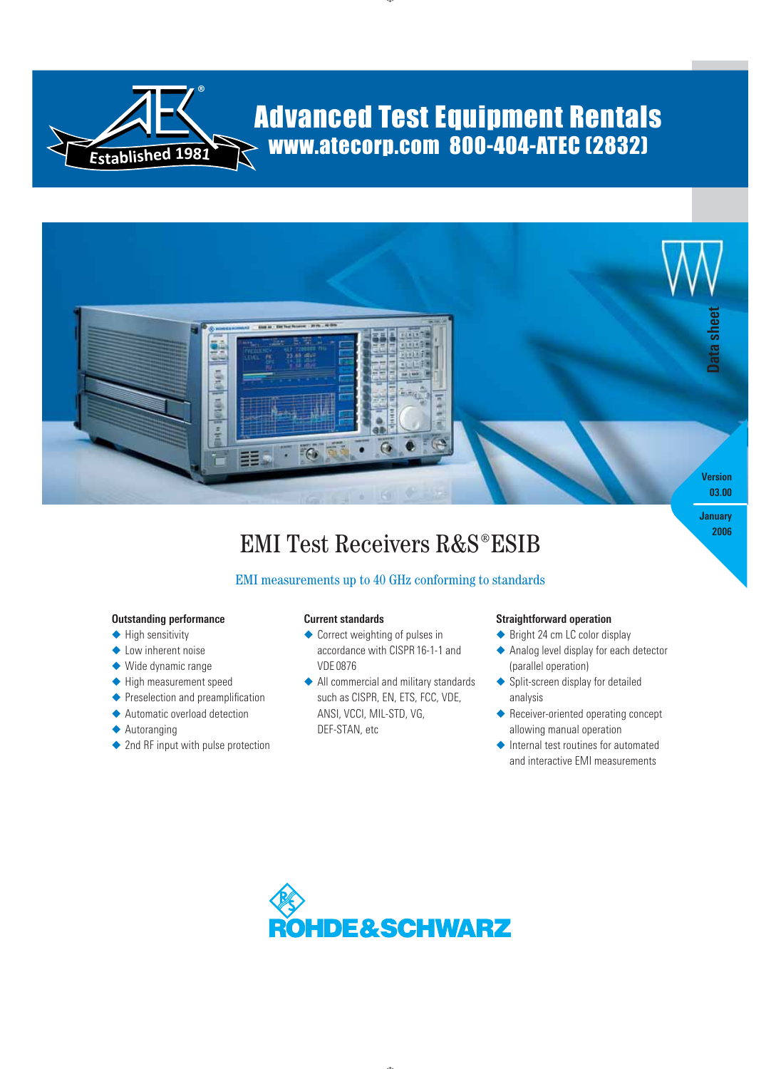

# Advanced Test Equipment Rentals www.atecorp.com 800-404-ATEC (2832)



# **EMI Test Receivers R&S<sup>®</sup>ESIB**

# EMI measurements up to 40 GHz conforming to standards

#### **Outstanding performance**

- ◆ High sensitivity
- ◆ Low inherent noise
- ◆ Wide dynamic range
- ◆ High measurement speed
- ◆ Preselection and preamplification
- ◆ Automatic overload detection
- ◆ Autoranging
- ◆ 2nd RF input with pulse protection

#### **Current standards**

- ◆ Correct weighting of pulses in accordance with CISPR 16-1-1 and VDE 0876
- ◆ All commercial and military standards such as CISPR, EN, ETS, FCC, VDE, ANSI, VCCI, MIL-STD, VG, DEF-STAN, etc

#### **Straightforward operation**

- ◆ Bright 24 cm LC color display
- ◆ Analog level display for each detector (parallel operation)
- ◆ Split-screen display for detailed analysis
- ◆ Receiver-oriented operating concept allowing manual operation
- ◆ Internal test routines for automated and interactive EMI measurements

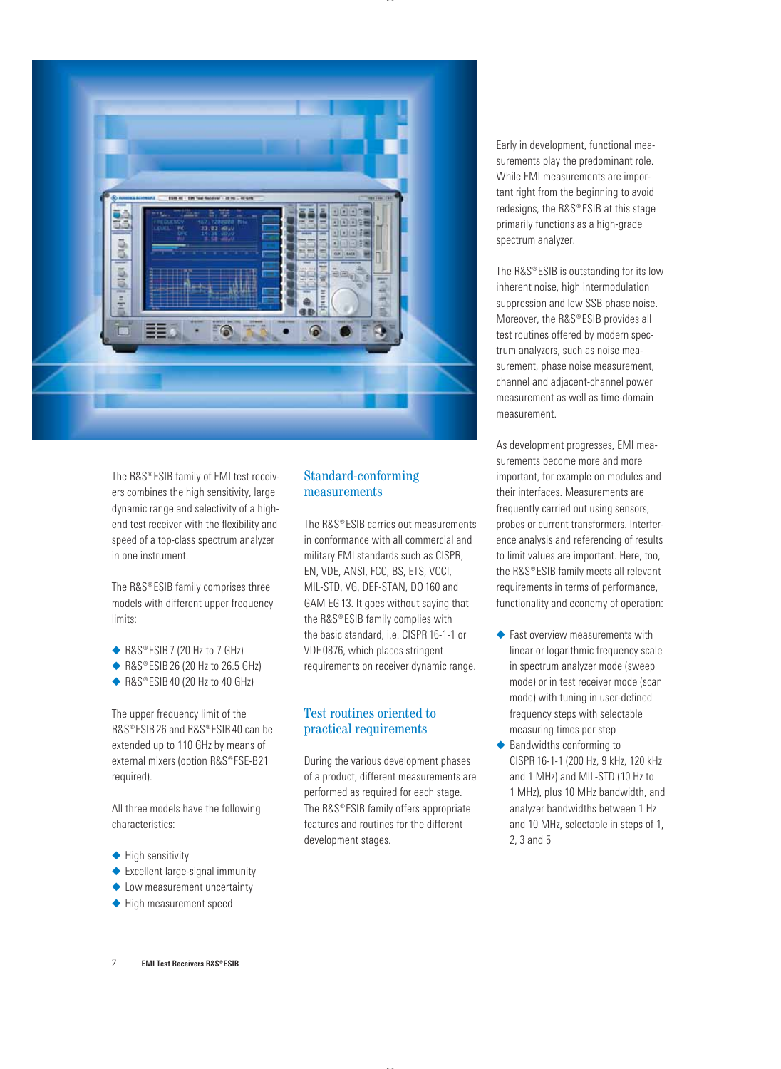

The R&S®ESIB family of EMI test receivers combines the high sensitivity, large dynamic range and selectivity of a highend test receiver with the flexibility and speed of a top-class spectrum analyzer in one instrument.

The  $RAS^{\circ}$  ESIB family comprises three models with different upper frequency limits:

- ◆ R&S®ESIB 7 (20 Hz to 7 GHz)
- ◆ R&S®ESIB 26 (20 Hz to 26.5 GHz)
- ◆ R&S®ESIB 40 (20 Hz to 40 GHz)

The upper frequency limit of the R&S®ESIB 26 and R&S®ESIB 40 can be extended up to 110 GHz by means of external mixers (option R&S®FSE-B21 required).

All three models have the following characteristics:

- ◆ High sensitivity
- ◆ Excellent large-signal immunity
- ◆ Low measurement uncertainty
- ◆ High measurement speed

# Standard-conforming measurements

The  $RSS^{\circ}FSIR$  carries out measurements in conformance with all commercial and military EMI standards such as CISPR, EN, VDE, ANSI, FCC, BS, ETS, VCCI, MIL-STD, VG, DEF-STAN, DO 160 and GAM EG 13. It goes without saying that the  $RAS^*ESIB$  family complies with the basic standard, i.e. CISPR 16-1-1 or VDE 0876, which places stringent requirements on receiver dynamic range.

# Test routines oriented to practical requirements

During the various development phases of a product, different measurements are performed as required for each stage. The  $RAS^{\circ}ESIB$  family offers appropriate features and routines for the different development stages.

Early in development, functional measurements play the predominant role. While EMI measurements are important right from the beginning to avoid redesigns, the R&S®ESIB at this stage primarily functions as a high-grade spectrum analyzer.

The R&S®ESIB is outstanding for its low inherent noise, high intermodulation suppression and low SSB phase noise. Moreover, the R&S®ESIB provides all test routines offered by modern spectrum analyzers, such as noise measurement, phase noise measurement, channel and adjacent-channel power measurement as well as time-domain measurement.

As development progresses, EMI measurements become more and more important, for example on modules and their interfaces. Measurements are frequently carried out using sensors, probes or current transformers. Interference analysis and referencing of results to limit values are important. Here, too, the R&S®ESIB family meets all relevant requirements in terms of performance, functionality and economy of operation:

- ◆ Fast overview measurements with linear or logarithmic frequency scale in spectrum analyzer mode (sweep mode) or in test receiver mode (scan mode) with tuning in user-defined frequency steps with selectable measuring times per step
- ◆ Bandwidths conforming to CISPR 16-1-1 (200 Hz, 9 kHz, 120 kHz and 1 MHz) and MIL-STD (10 Hz to 1 MHz), plus 10 MHz bandwidth, and analyzer bandwidths between 1 Hz and 10 MHz, selectable in steps of 1, 2, 3 and 5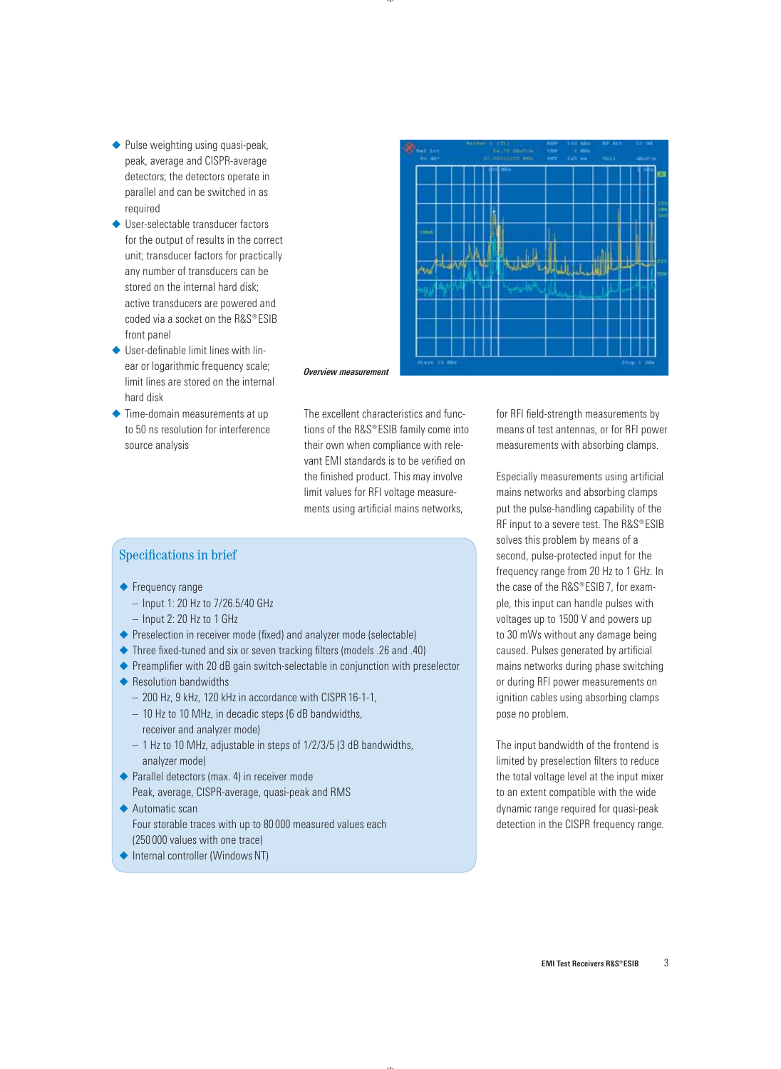- ◆ Pulse weighting using quasi-peak, peak, average and CISPR-average detectors; the detectors operate in parallel and can be switched in as required
- ◆ User-selectable transducer factors for the output of results in the correct unit; transducer factors for practically any number of transducers can be stored on the internal hard disk; active transducers are powered and coded via a socket on the  $RAS^{\circ}ESIB$ front panel
- ◆ User-definable limit lines with linear or logarithmic frequency scale; limit lines are stored on the internal hard disk
- ◆ Time-domain measurements at up to 50 ns resolution for interference source analysis



*Overview measurement*

The excellent characteristics and functions of the  $RAS^{\circ}ESIB$  family come into their own when compliance with relevant EMI standards is to be verified on the finished product. This may involve limit values for RFI voltage measurements using artificial mains networks,

# Specifications in brief

- ◆ Frequency range
	- Input 1: 20 Hz to 7/26.5/40 GHz
	- Input 2: 20 Hz to 1 GHz
- ◆ Preselection in receiver mode (fixed) and analyzer mode (selectable)
- ◆ Three fixed-tuned and six or seven tracking filters (models .26 and .40)
- ◆ Preamplifier with 20 dB gain switch-selectable in conjunction with preselector
- ◆ Resolution bandwidths
	- 200 Hz, 9 kHz, 120 kHz in accordance with CISPR 16-1-1, –
	- 10 Hz to 10 MHz, in decadic steps (6 dB bandwidths, receiver and analyzer mode)
	- 1 Hz to 10 MHz, adjustable in steps of 1/2/3/5 (3 dB bandwidths, analyzer mode)
- ◆ Parallel detectors (max. 4) in receiver mode Peak, average, CISPR-average, quasi-peak and RMS
- ◆ Automatic scan Four storable traces with up to 80 000 measured values each (250 000 values with one trace)
- ◆ Internal controller (Windows NT)

for RFI field-strength measurements by means of test antennas, or for RFI power measurements with absorbing clamps.

Especially measurements using artificial mains networks and absorbing clamps put the pulse-handling capability of the RF input to a severe test. The R&S®ESIB solves this problem by means of a second, pulse-protected input for the frequency range from 20 Hz to 1 GHz. In the case of the  $RAS^{\circ}ESIB7$ , for example, this input can handle pulses with voltages up to 1500 V and powers up to 30 mWs without any damage being caused. Pulses generated by artificial mains networks during phase switching or during RFI power measurements on ignition cables using absorbing clamps pose no problem.

The input bandwidth of the frontend is limited by preselection filters to reduce the total voltage level at the input mixer to an extent compatible with the wide dynamic range required for quasi-peak detection in the CISPR frequency range.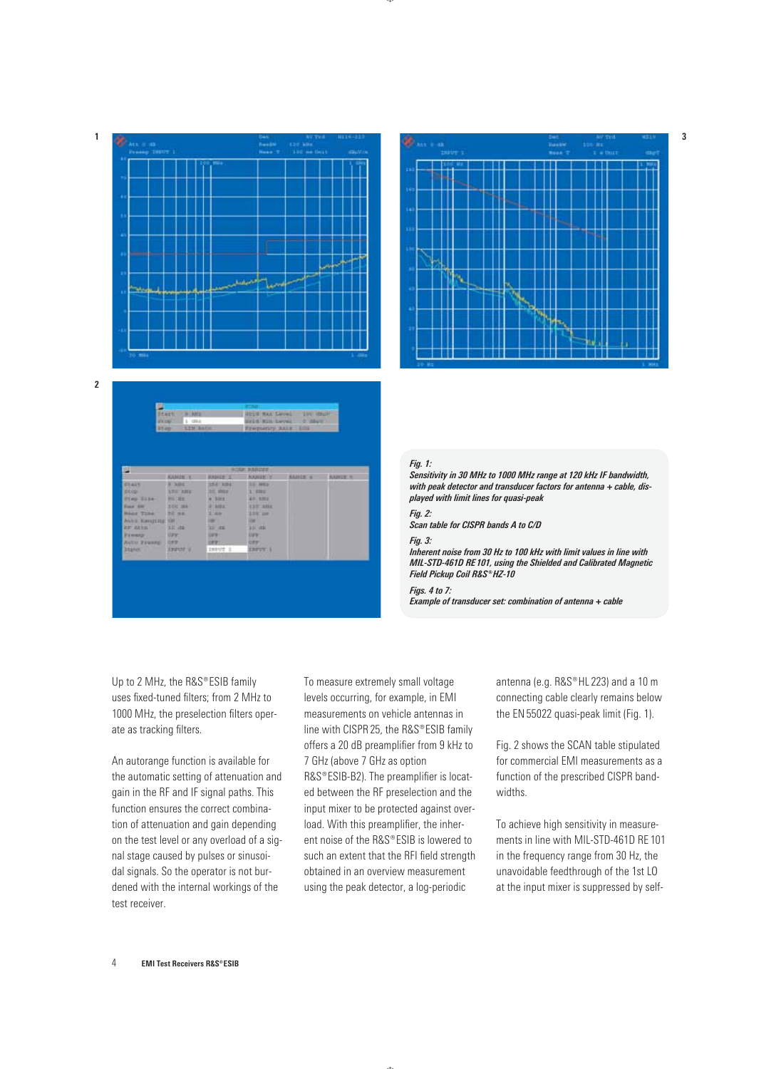



| 当<br><b>ZELOSA</b>                                                                                                                                                                | 9 kHz<br><b>Start</b><br>1 288 1<br>LIN Autor:<br><b>STAD</b>                                                  |                                                                                                                                       | <b>POST</b><br>EFLIS MIN LAVAL                                                                                                                   | <b>GINE HAR Level IV USUF</b><br><b>O'-SAUS</b><br>Preparity Asis, 102 |                 |
|-----------------------------------------------------------------------------------------------------------------------------------------------------------------------------------|----------------------------------------------------------------------------------------------------------------|---------------------------------------------------------------------------------------------------------------------------------------|--------------------------------------------------------------------------------------------------------------------------------------------------|------------------------------------------------------------------------|-----------------|
| p.                                                                                                                                                                                |                                                                                                                |                                                                                                                                       | <b>BOAR RABOTS</b>                                                                                                                               |                                                                        |                 |
|                                                                                                                                                                                   | <b>SANDE:1</b>                                                                                                 | <b>BABIET'S</b>                                                                                                                       | <b>BANGETS</b>                                                                                                                                   | <b>BADILE &amp;</b>                                                    | <b>BABILE R</b> |
| <b>GEART</b><br>Etcur.<br>Flex Sile<br>Frank BM<br><b>Negat Time."</b><br>ANNIE KINNEETER VIN<br><b>BF AFTER 1 22 -18</b><br><b>Viewar</b><br>AUTO FEBRAE<br><b>Shanut</b><br>max | <b>BOWHER</b><br><b>LEE AH</b><br><b><i>WG 318</i></b><br>200,388<br><b>PE NH</b><br>UPF.<br>OPP.<br>23/2172.2 | 1541304<br>清楚 静脉束<br>4.3318<br>ALMAL<br><b>STANT</b><br><b>CONTRACTOR</b><br>35, 49<br><b>CALL</b><br>5977<br>INDUT I<br><b>COLOR</b> | <b>BE MIN</b><br>3.7444<br><b>AP 630</b><br><b>ESTONIA</b><br>3.047 per<br><b>CONTRACTOR</b><br>33 - 25<br><b>UPR1</b><br><b>CFW.</b><br>13217 1 |                                                                        |                 |



#### *Fig. 1:*

*Sensitivity in 30 MHz to 1000 MHz range at 120 kHz IF bandwidth, with peak detector and transducer factors for antenna + cable, displayed with limit lines for quasi-peak*

#### *Fig. 2:*

*Scan table for CISPR bands A to C/D*

#### *Fig. 3:*

*Inherent noise from 30 Hz to 100 kHz with limit values in line with MIL-STD-461D RE 101, using the Shielded and Calibrated Magnetic*  **Field Pickup Coil R&S® HZ-10** 

*Figs. 4 to 7:* 

*Example of transducer set: combination of antenna + cable*

Up to 2 MHz, the R&S®ESIB family uses fixed-tuned filters; from 2 MHz to 1000 MHz, the preselection filters operate as tracking filters.

An autorange function is available for the automatic setting of attenuation and gain in the RF and IF signal paths. This function ensures the correct combination of attenuation and gain depending on the test level or any overload of a signal stage caused by pulses or sinusoidal signals. So the operator is not burdened with the internal workings of the test receiver.

To measure extremely small voltage levels occurring, for example, in EMI measurements on vehicle antennas in line with CISPR 25, the R&S®ESIB family offers a 20 dB preamplifier from 9 kHz to 7 GHz (above 7 GHz as option R&S®ESIB-B2). The preamplifier is located between the RF preselection and the input mixer to be protected against overload. With this preamplifier, the inherent noise of the R&S®ESIB is lowered to such an extent that the RFI field strength obtained in an overview measurement using the peak detector, a log- periodic

antenna (e.g. R&S®HL 223) and a 10 m connecting cable clearly remains below the EN 55022 quasi-peak limit (Fig. 1).

Fig. 2 shows the SCAN table stipulated for commercial EMI measurements as a function of the prescribed CISPR bandwidths.

To achieve high sensitivity in measurements in line with MIL-STD-461D RE 101 in the frequency range from 30 Hz, the unavoidable feedthrough of the 1st LO at the input mixer is suppressed by self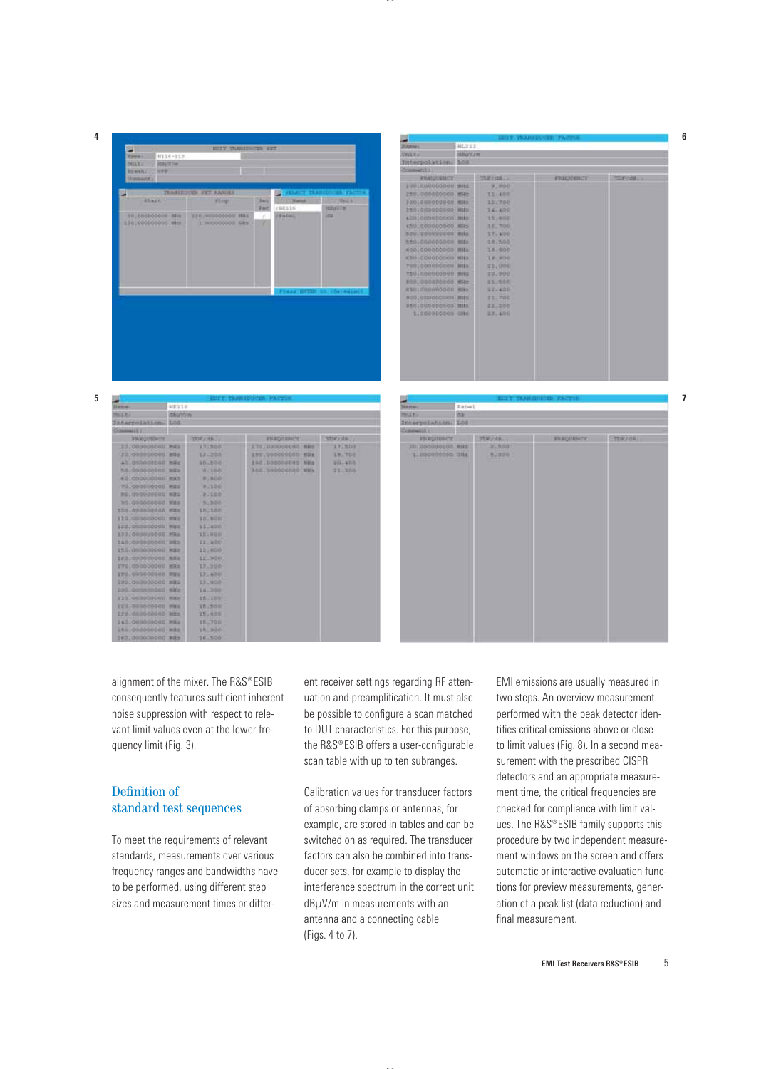**4**

**5**



|                            |        | <b>HOTT TRANSDOCKN-PACTOR</b> |           |
|----------------------------|--------|-------------------------------|-----------|
| HL223<br><b>Hanwy</b>      |        |                               |           |
| mitoritow<br><b>SWEEP</b>  |        |                               |           |
| Interpolations fied        |        |                               |           |
| Community L.               |        |                               |           |
| <b>FRIODUENCY</b>          | TUF/48 | <b>РВШОПИРИСТ</b>             | TOFFIEL . |
| EUU JUADODOOOD MINE        | まし参の日  |                               |           |
| 258.000000000 MHz          | 33/408 |                               |           |
| 300300000000 MHz           | 11.708 |                               |           |
| 156:000000000 MMW          | 34.400 |                               |           |
| 408 005080000 MILE         | 11,000 |                               |           |
| 450.000000000 MHS          | 15.705 |                               |           |
| 500.000000000 MHz          | 17.400 |                               |           |
|                            | 18,500 |                               |           |
| 400.000000000 MHz          | 18,000 |                               |           |
| E101000000000 MILE         | 13.900 |                               |           |
| <b>199,000000000 Hits</b>  | 21,000 |                               |           |
| 150.000000000 MHz          | 10.000 |                               |           |
| E00.000000000 MHz          | 33.500 |                               |           |
| <b>REGIONAL CONGRATION</b> | 221400 |                               |           |
| MIN COODDOOD CORP.         | 11/700 |                               |           |
| <b>SESCOSSODOOO MIS</b>    | 11,300 |                               |           |
| 1.000000000 OH:            | 33.400 |                               |           |
|                            |        |                               |           |
|                            |        |                               |           |
|                            |        |                               |           |
|                            |        |                               |           |
|                            |        |                               |           |
|                            |        |                               |           |
|                            |        |                               |           |
|                            |        |                               |           |

|                           |               |            | <b>GILLER ESCARLEDO CERA PARTIEN</b> |                |
|---------------------------|---------------|------------|--------------------------------------|----------------|
| Name:                     | <b>BIELLE</b> |            |                                      |                |
| mate                      | distriction   |            |                                      |                |
| Interpolations LOG        |               |            |                                      |                |
| Commutati i               |               |            |                                      |                |
| <b>FRAGUISINOY</b>        |               | TUE/ISB.   | <b>FRAQUANCE</b>                     | <b>StiFada</b> |
| ED CODODOOO MIL           |               | 11:500     | STE DDOODQUOO MIS                    | IT BDG         |
| 20.081000000 BW           |               | 13-200     | 198,000000000 BRS                    | 18,700         |
| all conneccon Milz        |               | 10.500     | 190 DROODGEDO MILE                   | 20.400         |
| 501000000000 MMa          |               | 92100      | AND DODOOD NO.                       | 21,300         |
| 40.000000000 MHz          |               | 91600      |                                      |                |
| T0.000000000 MILL         |               | 9.300      |                                      |                |
| RU. 000000000 KR2         |               | $-9 - 100$ |                                      |                |
| WIN COODCOOO SAN          |               | 19.500     |                                      |                |
| 100.000000000 MHz         |               | 101100     |                                      |                |
| <b>ETH.GODSHOOOO HIGH</b> |               | 30.908     |                                      |                |
| 120,000000000 MHz         |               | 11.400     |                                      |                |
| LID:000000000 MHz         |               | 111000     |                                      |                |
| LAG.000000000 HIV         |               | 12.400     |                                      |                |
| 150.000000000 MID         |               | 11,000     |                                      |                |
| 1K0100000000 MHz          |               | 11.900     |                                      |                |
| 170100000000 MHS          |               | 13,200     |                                      |                |
| ITO, 000000000 MILL       |               | 13,400     |                                      |                |
| 190.000000000 MHz         |               | 13.800     |                                      |                |
| 230.000000000 MHz         |               | 14.300     |                                      |                |
| 310.000000000 MMs         |               | 15.100     |                                      |                |
| 228,000000000 MMz         |               | 生作上野田田     |                                      |                |
| 2201003000000 MILL        |               | 15,600     |                                      |                |
| 140.000000000 MHs         |               | 15.700     |                                      |                |
| 150.000000000 MILL        |               | 11.900     |                                      |                |
|                           |               |            |                                      |                |

|                                     |                | BILLY TRANSDUCKS FACTOR |                 |
|-------------------------------------|----------------|-------------------------|-----------------|
| <b>Name:</b>                        | tabel          |                         |                 |
| možny.<br>ins:                      |                |                         |                 |
| Interpolation: LOO                  |                |                         |                 |
| Compating a                         |                |                         |                 |
| <b>FRUQUESCE</b>                    | ttiP/dh.,      | <b>FRANQUADEST</b>      | <b>TRIP/GR.</b> |
| 38.000000000 MHz<br>\$100000000 Sks | 三、500<br>4,900 |                         |                 |
|                                     |                |                         |                 |
|                                     |                |                         |                 |
|                                     |                |                         |                 |
|                                     |                |                         |                 |
|                                     |                |                         |                 |
|                                     |                |                         |                 |
|                                     |                |                         |                 |
|                                     |                |                         |                 |
|                                     |                |                         |                 |
|                                     |                |                         |                 |

**7**

**6**

alignment of the mixer. The R&S®ESIB consequently features sufficient inherent noise suppression with respect to relevant limit values even at the lower frequency limit (Fig. 3).

# Definition of standard test sequences

To meet the requirements of relevant standards, measurements over various frequency ranges and bandwidths have to be performed, using different step sizes and measurement times or different receiver settings regarding RF attenuation and preamplification. It must also be possible to configure a scan matched to DUT characteristics. For this purpose, the R&S®ESIB offers a user-configurable scan table with up to ten subranges.

Calibration values for transducer factors of absorbing clamps or antennas, for example, are stored in tables and can be switched on as required. The transducer factors can also be combined into transducer sets, for example to display the interference spectrum in the correct unit dBμV/m in measurements with an antenna and a connecting cable (Figs. 4 to 7).

EMI emissions are usually measured in two steps. An overview measurement performed with the peak detector identifies critical emissions above or close to limit values (Fig. 8). In a second measurement with the prescribed CISPR detectors and an appropriate measurement time, the critical frequencies are checked for compliance with limit values. The R&S®ESIB family supports this procedure by two independent measurement windows on the screen and offers automatic or interactive evaluation functions for preview measurements, generation of a peak list (data reduction) and final measurement.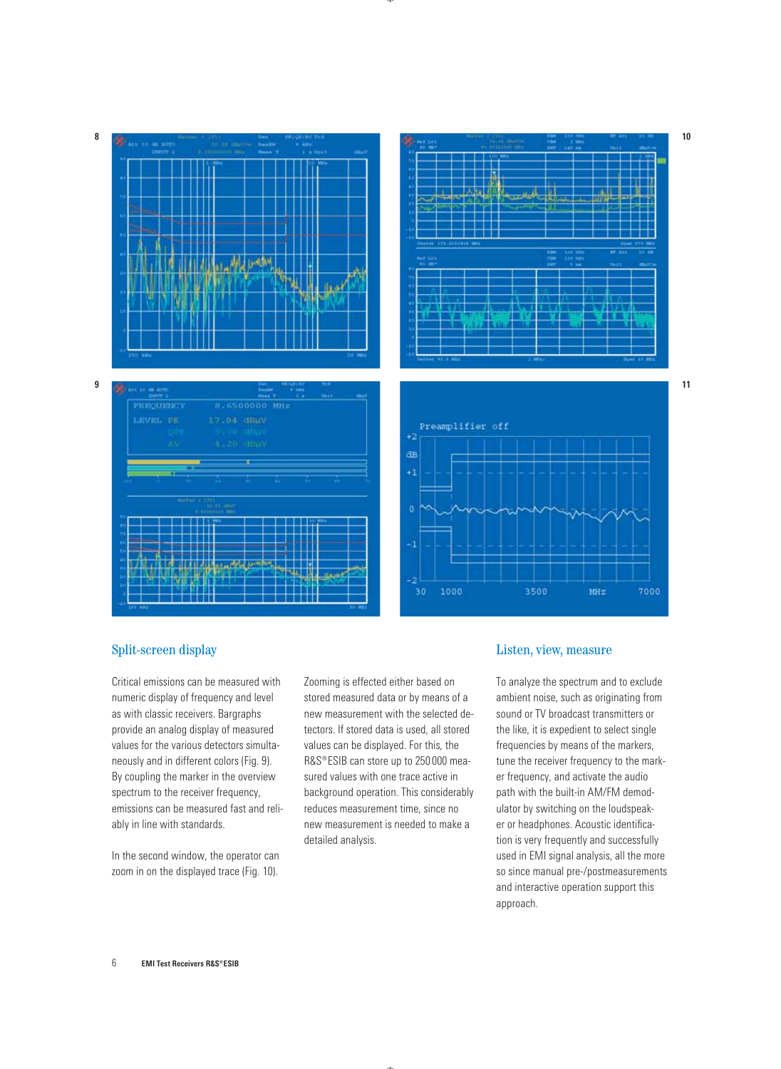

 $\overline{AB}$ 





# Split-screen display

Critical emissions can be measured with numeric display of frequency and level as with classic receivers. Bargraphs provide an analog display of measured values for the various detectors simultaneously and in different colors (Fig. 9). By coupling the marker in the overview spectrum to the receiver frequency, emissions can be measured fast and reliably in line with standards.

In the second window, the operator can zoom in on the displayed trace (Fig. 10).

Zooming is effected either based on stored measured data or by means of a new measurement with the selected detectors. If stored data is used, all stored values can be displayed. For this, the R&S®ESIB can store up to 250 000 measured values with one trace active in background operation. This considerably reduces measurement time, since no new measurement is needed to make a detailed analysis.

# Listen, view, measure

To analyze the spectrum and to exclude ambient noise, such as originating from sound or TV broadcast transmitters or the like, it is expedient to select single frequencies by means of the markers, tune the receiver frequency to the marker frequency, and activate the audio path with the built-in AM/FM demodulator by switching on the loudspeaker or headphones. Acoustic identification is very frequently and successfully used in EMI signal analysis, all the more so since manual pre-/postmeasurements and interactive operation support this approach.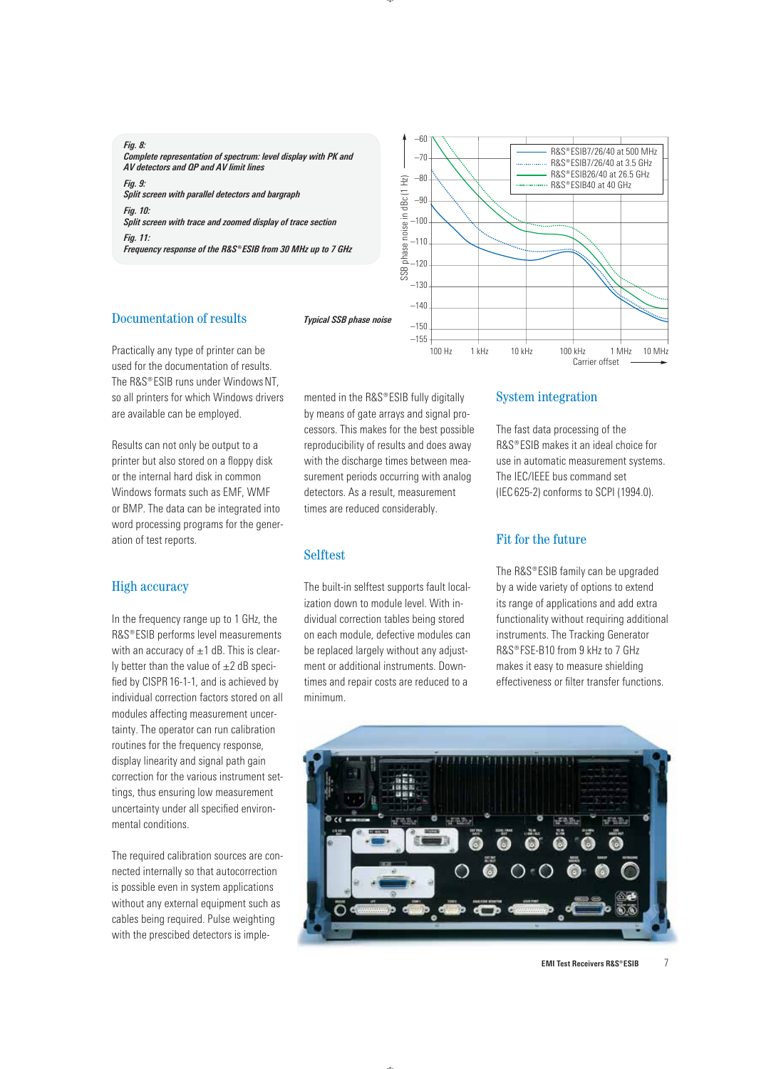#### *Fig. 8:*

*Complete representation of spectrum: level display with PK and AV detectors and QP and AV limit lines* 

*Fig. 9: Split screen with parallel detectors and bargraph Fig. 10: Split screen with trace and zoomed display of trace section Fig. 11: Frequency response of the R&S®ESIB from 30 MHz up to 7 GHz* 



# Documentation of results

Practically any type of printer can be used for the documentation of results. The R&S®ESIB runs under Windows NT. so all printers for which Windows drivers are available can be employed.

Results can not only be output to a printer but also stored on a floppy disk or the internal hard disk in common Windows formats such as EMF, WMF or BMP. The data can be integrated into word processing programs for the generation of test reports.

# High accuracy

In the frequency range up to 1 GHz, the R&S®ESIB performs level measurements with an accuracy of  $\pm$ 1 dB. This is clearly better than the value of  $\pm 2$  dB specified by CISPR 16-1-1, and is achieved by individual correction factors stored on all modules affecting measurement uncertainty. The operator can run calibration routines for the frequency response, display linearity and signal path gain correction for the various instrument settings, thus ensuring low measurement uncertainty under all specified environmental conditions.

The required calibration sources are connected internally so that autocorrection is possible even in system applications without any external equipment such as cables being required. Pulse weighting with the prescibed detectors is implemented in the  $RAS^{\circ}ESIB$  fully digitally by means of gate arrays and signal processors. This makes for the best possible reproducibility of results and does away with the discharge times between measurement periods occurring with analog detectors. As a result, measurement times are reduced considerably.

# Selftest

The built-in selftest supports fault localization down to module level. With individual correction tables being stored on each module, defective modules can be replaced largely without any adjustment or additional instruments. Downtimes and repair costs are reduced to a minimum.

# System integration

The fast data processing of the R&S®ESIB makes it an ideal choice for use in automatic measurement systems. The IEC/IEEE bus command set (IEC 625-2) conforms to SCPI (1994.0).

# Fit for the future

The R&S®ESIB family can be upgraded by a wide variety of options to extend its range of applications and add extra functionality without requiring additional instruments. The Tracking Generator R&S®FSE-B10 from 9 kHz to 7 GHz makes it easy to measure shielding effectiveness or filter transfer functions.

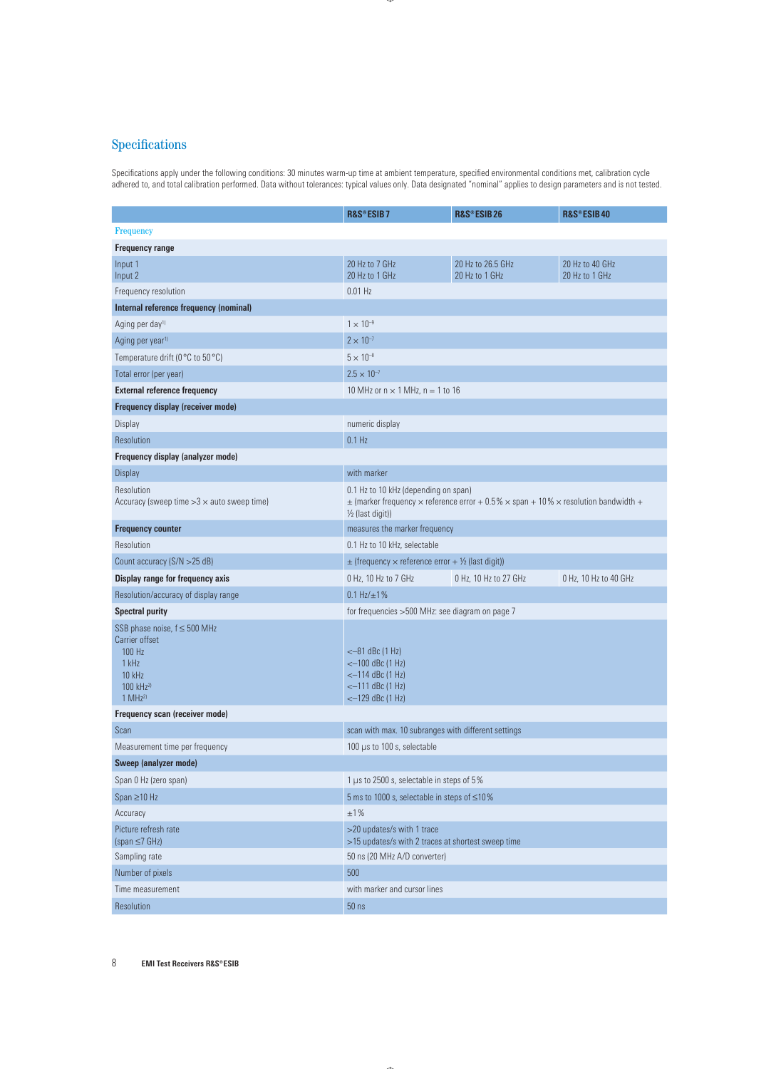# **Specifications**

Specifications apply under the following conditions: 30 minutes warm-up time at ambient temperature, specified environmental conditions met, calibration cycle adhered to, and total calibration performed. Data without tolerances: typical values only. Data designated "nominal" applies to design parameters and is not tested.

|                                                                                                                                 | R&S®ESIB7                                                                                                                                                                | R&S®ESIB26                          | R&S®ESIB40                        |  |
|---------------------------------------------------------------------------------------------------------------------------------|--------------------------------------------------------------------------------------------------------------------------------------------------------------------------|-------------------------------------|-----------------------------------|--|
| <b>Frequency</b>                                                                                                                |                                                                                                                                                                          |                                     |                                   |  |
| <b>Frequency range</b>                                                                                                          |                                                                                                                                                                          |                                     |                                   |  |
| Input 1<br>Input 2                                                                                                              | 20 Hz to 7 GHz<br>20 Hz to 1 GHz                                                                                                                                         | 20 Hz to 26.5 GHz<br>20 Hz to 1 GHz | 20 Hz to 40 GHz<br>20 Hz to 1 GHz |  |
| Frequency resolution                                                                                                            | $0.01$ Hz                                                                                                                                                                |                                     |                                   |  |
| Internal reference frequency (nominal)                                                                                          |                                                                                                                                                                          |                                     |                                   |  |
| Aging per day <sup>1)</sup>                                                                                                     | $1 \times 10^{-9}$                                                                                                                                                       |                                     |                                   |  |
| Aging per year <sup>1)</sup>                                                                                                    | $2 \times 10^{-7}$                                                                                                                                                       |                                     |                                   |  |
| Temperature drift (0 °C to 50 °C)                                                                                               | $5 \times 10^{-8}$                                                                                                                                                       |                                     |                                   |  |
| Total error (per year)                                                                                                          | $2.5 \times 10^{-7}$                                                                                                                                                     |                                     |                                   |  |
| <b>External reference frequency</b>                                                                                             | 10 MHz or $n \times 1$ MHz, $n = 1$ to 16                                                                                                                                |                                     |                                   |  |
| Frequency display (receiver mode)                                                                                               |                                                                                                                                                                          |                                     |                                   |  |
| Display                                                                                                                         | numeric display                                                                                                                                                          |                                     |                                   |  |
| Resolution                                                                                                                      | $0.1$ Hz                                                                                                                                                                 |                                     |                                   |  |
| Frequency display (analyzer mode)                                                                                               |                                                                                                                                                                          |                                     |                                   |  |
| <b>Display</b>                                                                                                                  | with marker                                                                                                                                                              |                                     |                                   |  |
| Resolution<br>Accuracy (sweep time $>3 \times$ auto sweep time)                                                                 | 0.1 Hz to 10 kHz (depending on span)<br>$\pm$ (marker frequency $\times$ reference error + 0.5% $\times$ span + 10% $\times$ resolution bandwidth +<br>1/2 (last digit)) |                                     |                                   |  |
| <b>Frequency counter</b>                                                                                                        | measures the marker frequency                                                                                                                                            |                                     |                                   |  |
| Resolution                                                                                                                      | 0.1 Hz to 10 kHz, selectable                                                                                                                                             |                                     |                                   |  |
| Count accuracy (S/N > 25 dB)                                                                                                    | $\pm$ (frequency $\times$ reference error + $\frac{1}{2}$ (last digit))                                                                                                  |                                     |                                   |  |
| Display range for frequency axis                                                                                                | 0 Hz, 10 Hz to 7 GHz                                                                                                                                                     | 0 Hz, 10 Hz to 27 GHz               | 0 Hz, 10 Hz to 40 GHz             |  |
| Resolution/accuracy of display range                                                                                            | $0.1 Hz/\pm 1\%$                                                                                                                                                         |                                     |                                   |  |
| <b>Spectral purity</b>                                                                                                          | for frequencies > 500 MHz: see diagram on page 7                                                                                                                         |                                     |                                   |  |
| SSB phase noise, $f \leq 500$ MHz<br>Carrier offset<br>100 Hz<br>1 kHz<br>10 kHz<br>100 kHz <sup>2)</sup><br>1 MHz <sup>2</sup> | $<-81$ dBc $(1$ Hz)<br>$<-100$ dBc (1 Hz)<br>$<-114$ dBc (1 Hz)<br>$<-111$ dBc $(1$ Hz)<br>$<-129$ dBc $(1 \text{ Hz})$                                                  |                                     |                                   |  |
| Frequency scan (receiver mode)                                                                                                  |                                                                                                                                                                          |                                     |                                   |  |
| Scan                                                                                                                            | scan with max. 10 subranges with different settings                                                                                                                      |                                     |                                   |  |
| Measurement time per frequency                                                                                                  | 100 $\mu$ s to 100 s, selectable                                                                                                                                         |                                     |                                   |  |
| Sweep (analyzer mode)                                                                                                           |                                                                                                                                                                          |                                     |                                   |  |
| Span 0 Hz (zero span)                                                                                                           | 1 µs to 2500 s, selectable in steps of 5%                                                                                                                                |                                     |                                   |  |
| Span $\geq$ 10 Hz                                                                                                               | 5 ms to 1000 s, selectable in steps of ≤10%                                                                                                                              |                                     |                                   |  |
| Accuracy                                                                                                                        | $\pm 1\,\%$                                                                                                                                                              |                                     |                                   |  |
| Picture refresh rate<br>$(span \leq 7 GHz)$                                                                                     | >20 updates/s with 1 trace<br>>15 updates/s with 2 traces at shortest sweep time                                                                                         |                                     |                                   |  |
| Sampling rate                                                                                                                   | 50 ns (20 MHz A/D converter)                                                                                                                                             |                                     |                                   |  |
| Number of pixels                                                                                                                | 500                                                                                                                                                                      |                                     |                                   |  |
| Time measurement                                                                                                                | with marker and cursor lines                                                                                                                                             |                                     |                                   |  |
| Resolution                                                                                                                      | $50$ ns                                                                                                                                                                  |                                     |                                   |  |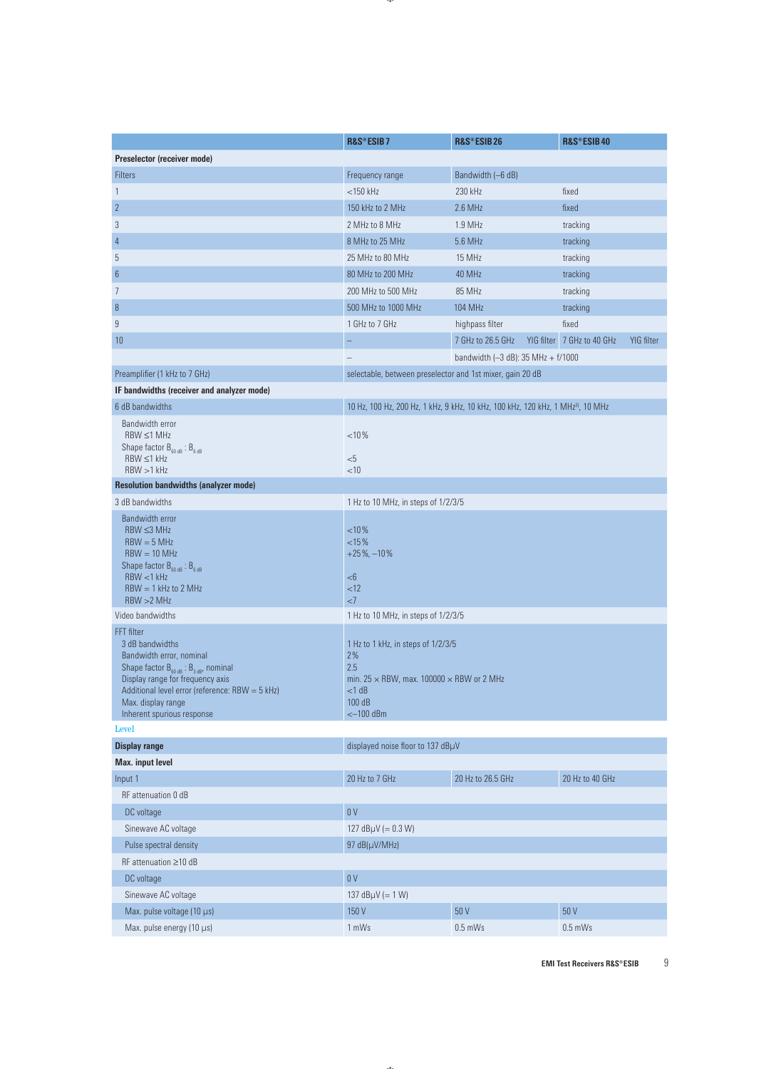|                                                                                                                           | R&S®ESIB7                                                 | R&S®ESIB26                                                                                  | R&S®ESIB40                               |  |  |
|---------------------------------------------------------------------------------------------------------------------------|-----------------------------------------------------------|---------------------------------------------------------------------------------------------|------------------------------------------|--|--|
| Preselector (receiver mode)                                                                                               |                                                           |                                                                                             |                                          |  |  |
| <b>Filters</b>                                                                                                            | Frequency range                                           | Bandwidth (-6 dB)                                                                           |                                          |  |  |
| $\mathbf{1}$                                                                                                              | $<$ 150 $k$ Hz                                            | 230 kHz                                                                                     | fixed                                    |  |  |
| $\sqrt{2}$                                                                                                                | 150 kHz to 2 MHz                                          | $2.6$ MHz                                                                                   | fixed                                    |  |  |
| $\sqrt{3}$                                                                                                                | 2 MHz to 8 MHz                                            | 1.9 MHz                                                                                     | tracking                                 |  |  |
| $\overline{4}$                                                                                                            | 8 MHz to 25 MHz                                           | 5.6 MHz                                                                                     | tracking                                 |  |  |
| 5                                                                                                                         | 25 MHz to 80 MHz                                          | 15 MHz                                                                                      | tracking                                 |  |  |
| $6\phantom{.}6$                                                                                                           | 80 MHz to 200 MHz                                         | 40 MHz                                                                                      | tracking                                 |  |  |
| 7                                                                                                                         | 200 MHz to 500 MHz                                        | 85 MHz                                                                                      | tracking                                 |  |  |
| 8                                                                                                                         | 500 MHz to 1000 MHz                                       | 104 MHz                                                                                     | tracking                                 |  |  |
| 9                                                                                                                         | 1 GHz to 7 GHz                                            | highpass filter                                                                             | fixed                                    |  |  |
| 10                                                                                                                        |                                                           | 7 GHz to 26.5 GHz                                                                           | YIG filter 7 GHz to 40 GHz<br>YIG filter |  |  |
|                                                                                                                           |                                                           | bandwidth $(-3$ dB): 35 MHz + $f/1000$                                                      |                                          |  |  |
| Preamplifier (1 kHz to 7 GHz)                                                                                             | selectable, between preselector and 1st mixer, gain 20 dB |                                                                                             |                                          |  |  |
| IF bandwidths (receiver and analyzer mode)                                                                                |                                                           |                                                                                             |                                          |  |  |
| 6 dB bandwidths                                                                                                           |                                                           | 10 Hz, 100 Hz, 200 Hz, 1 kHz, 9 kHz, 10 kHz, 100 kHz, 120 kHz, 1 MHz <sup>3)</sup> , 10 MHz |                                          |  |  |
| Bandwidth error                                                                                                           |                                                           |                                                                                             |                                          |  |  |
| $RBW \leq 1 MHz$                                                                                                          | < 10%                                                     |                                                                                             |                                          |  |  |
| Shape factor $B_{60 dB}$ : $B_{6 dB}$<br>$RBW \leq 1 kHz$                                                                 |                                                           |                                                                                             |                                          |  |  |
| RBW > 1 kHz                                                                                                               | $<$ 5<br>$<$ 10                                           |                                                                                             |                                          |  |  |
| <b>Resolution bandwidths (analyzer mode)</b>                                                                              |                                                           |                                                                                             |                                          |  |  |
| 3 dB bandwidths                                                                                                           | 1 Hz to 10 MHz, in steps of 1/2/3/5                       |                                                                                             |                                          |  |  |
| <b>Bandwidth error</b>                                                                                                    |                                                           |                                                                                             |                                          |  |  |
| $RBW \leq 3 MHz$                                                                                                          | < 10%                                                     |                                                                                             |                                          |  |  |
| $RBW = 5 MHz$<br>$RBW = 10 MHz$                                                                                           | <15%<br>$+25\%$ , $-10\%$                                 |                                                                                             |                                          |  |  |
| Shape factor $B_{60 dB}$ : $B_{6 dB}$                                                                                     |                                                           |                                                                                             |                                          |  |  |
| $RBW < 1$ kHz                                                                                                             | $<$ 6                                                     |                                                                                             |                                          |  |  |
| $RBW = 1$ kHz to 2 MHz<br>RBW > 2 MHz                                                                                     | <12<br><7                                                 |                                                                                             |                                          |  |  |
| Video bandwidths                                                                                                          | 1 Hz to 10 MHz, in steps of 1/2/3/5                       |                                                                                             |                                          |  |  |
| FFT filter                                                                                                                |                                                           |                                                                                             |                                          |  |  |
| 3 dB bandwidths                                                                                                           | 1 Hz to 1 kHz, in steps of 1/2/3/5                        |                                                                                             |                                          |  |  |
| Bandwidth error, nominal                                                                                                  | $2\%$<br>2.5                                              |                                                                                             |                                          |  |  |
| Shape factor $\mathsf{B}_{_{60\,\text{dB}}}$ : $\mathsf{B}_{_{3\,\text{dB}}}$ nominal<br>Display range for frequency axis | min. $25 \times$ RBW, max. 100000 $\times$ RBW or 2 MHz   |                                                                                             |                                          |  |  |
| Additional level error (reference: RBW = 5 kHz)                                                                           | $<$ 1 dB                                                  |                                                                                             |                                          |  |  |
| Max. display range<br>Inherent spurious response                                                                          | 100 dB<br>$<$ -100 dBm                                    |                                                                                             |                                          |  |  |
| Level                                                                                                                     |                                                           |                                                                                             |                                          |  |  |
| <b>Display range</b>                                                                                                      | displayed noise floor to 137 dBµV                         |                                                                                             |                                          |  |  |
| Max. input level                                                                                                          |                                                           |                                                                                             |                                          |  |  |
| Input 1                                                                                                                   | 20 Hz to 7 GHz                                            | 20 Hz to 26.5 GHz                                                                           | 20 Hz to 40 GHz                          |  |  |
| RF attenuation 0 dB                                                                                                       |                                                           |                                                                                             |                                          |  |  |
| DC voltage                                                                                                                | 0V                                                        |                                                                                             |                                          |  |  |
| Sinewave AC voltage                                                                                                       |                                                           |                                                                                             |                                          |  |  |
| Pulse spectral density                                                                                                    | 127 $dB\mu V (= 0.3 W)$<br>97 dB(µV/MHz)                  |                                                                                             |                                          |  |  |
|                                                                                                                           |                                                           |                                                                                             |                                          |  |  |
| RF attenuation ≥10 dB                                                                                                     | 0V                                                        |                                                                                             |                                          |  |  |
| DC voltage                                                                                                                |                                                           |                                                                                             |                                          |  |  |
| Sinewave AC voltage                                                                                                       | 137 $dB\mu V (= 1 W)$                                     |                                                                                             |                                          |  |  |
| Max. pulse voltage (10 µs)                                                                                                | 150 V                                                     | 50 V                                                                                        | 50 V                                     |  |  |
| Max. pulse energy (10 µs)                                                                                                 | 1 mWs                                                     | $0.5$ mWs                                                                                   | $0.5$ mWs                                |  |  |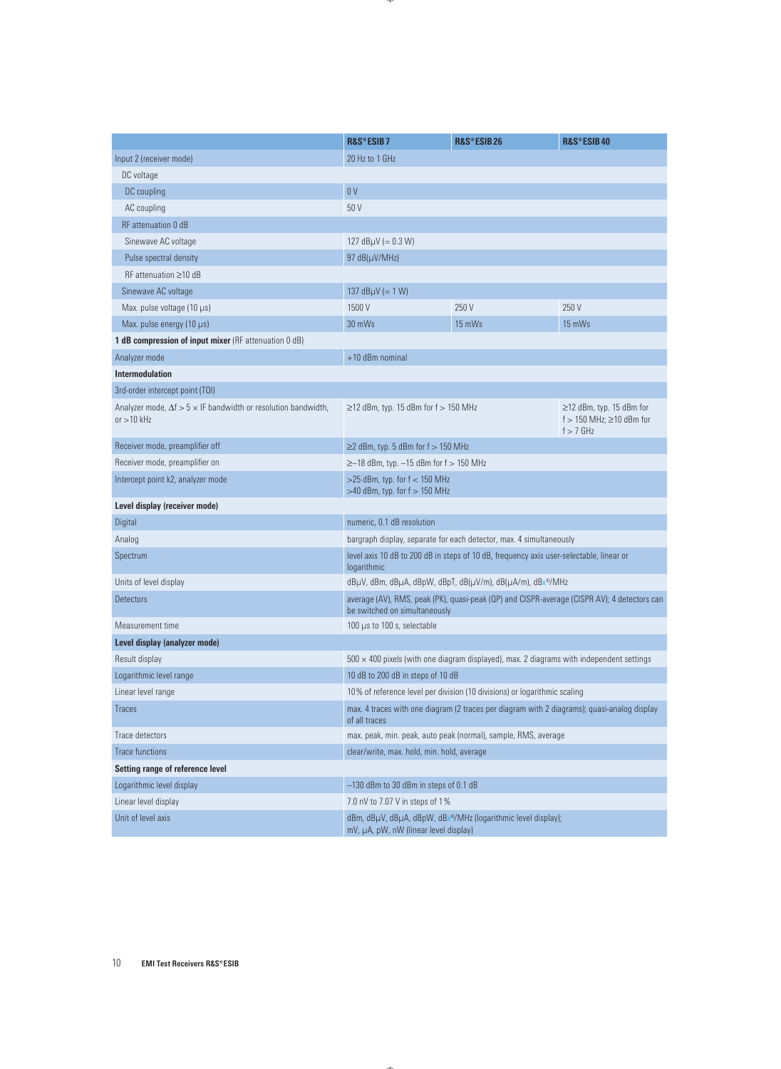|                                                                                             | R&S®ESIB7                                                                                                    | R&S®ESIB26                                                                                      | R&S®ESIB40                                                                |  |
|---------------------------------------------------------------------------------------------|--------------------------------------------------------------------------------------------------------------|-------------------------------------------------------------------------------------------------|---------------------------------------------------------------------------|--|
| Input 2 (receiver mode)                                                                     | 20 Hz to 1 GHz                                                                                               |                                                                                                 |                                                                           |  |
| DC voltage                                                                                  |                                                                                                              |                                                                                                 |                                                                           |  |
| DC coupling                                                                                 | 0V                                                                                                           |                                                                                                 |                                                                           |  |
| AC coupling                                                                                 | 50 V                                                                                                         |                                                                                                 |                                                                           |  |
| <b>RF</b> attenuation 0 dB                                                                  |                                                                                                              |                                                                                                 |                                                                           |  |
| Sinewave AC voltage                                                                         | 127 $dB\mu V (= 0.3 W)$                                                                                      |                                                                                                 |                                                                           |  |
| Pulse spectral density                                                                      | $97 dB(\mu V/MHz)$                                                                                           |                                                                                                 |                                                                           |  |
| $RF$ attenuation $\geq 10$ dB                                                               |                                                                                                              |                                                                                                 |                                                                           |  |
| Sinewave AC voltage                                                                         | 137 $dB\mu V (= 1 W)$                                                                                        |                                                                                                 |                                                                           |  |
| Max. pulse voltage (10 µs)                                                                  | 1500 V                                                                                                       | 250 V                                                                                           | 250 V                                                                     |  |
| Max. pulse energy $(10 \mu s)$                                                              | 30 mWs                                                                                                       | 15 mWs                                                                                          | 15 mWs                                                                    |  |
| 1 dB compression of input mixer (RF attenuation 0 dB)                                       |                                                                                                              |                                                                                                 |                                                                           |  |
| Analyzer mode                                                                               | +10 dBm nominal                                                                                              |                                                                                                 |                                                                           |  |
| <b>Intermodulation</b>                                                                      |                                                                                                              |                                                                                                 |                                                                           |  |
| 3rd-order intercept point (TOI)                                                             |                                                                                                              |                                                                                                 |                                                                           |  |
| Analyzer mode, $\Delta f > 5 \times I$ F bandwidth or resolution bandwidth,<br>or $>10$ kHz | $\geq$ 12 dBm, typ. 15 dBm for f $>$ 150 MHz                                                                 |                                                                                                 | ≥12 dBm, typ. 15 dBm for<br>f > 150 MHz; $\geq$ 10 dBm for<br>$f > 7$ GHz |  |
| Receiver mode, preamplifier off                                                             | $\geq$ 2 dBm, typ. 5 dBm for f $> 150$ MHz                                                                   |                                                                                                 |                                                                           |  |
| Receiver mode, preamplifier on                                                              | $\ge$ -18 dBm, typ. -15 dBm for f > 150 MHz                                                                  |                                                                                                 |                                                                           |  |
| Intercept point k2, analyzer mode                                                           | $>$ 25 dBm, typ. for f < 150 MHz<br>$>40$ dBm, typ. for $f > 150$ MHz                                        |                                                                                                 |                                                                           |  |
| Level display (receiver mode)                                                               |                                                                                                              |                                                                                                 |                                                                           |  |
| Digital                                                                                     | numeric, 0.1 dB resolution                                                                                   |                                                                                                 |                                                                           |  |
| Analog                                                                                      | bargraph display, separate for each detector, max. 4 simultaneously                                          |                                                                                                 |                                                                           |  |
| Spectrum                                                                                    | level axis 10 dB to 200 dB in steps of 10 dB, frequency axis user-selectable, linear or<br>logarithmic       |                                                                                                 |                                                                           |  |
| Units of level display                                                                      | dBµV, dBm, dBµA, dBpW, dBpT, dB(µV/m), dB(µA/m), dBx <sup>4)</sup> /MHz                                      |                                                                                                 |                                                                           |  |
| <b>Detectors</b>                                                                            | be switched on simultaneously                                                                                | average (AV), RMS, peak (PK), quasi-peak (QP) and CISPR-average (CISPR AV); 4 detectors can     |                                                                           |  |
| Measurement time                                                                            | 100 µs to 100 s, selectable                                                                                  |                                                                                                 |                                                                           |  |
| Level display (analyzer mode)                                                               |                                                                                                              |                                                                                                 |                                                                           |  |
| Result display                                                                              |                                                                                                              | $500 \times 400$ pixels (with one diagram displayed), max. 2 diagrams with independent settings |                                                                           |  |
| Logarithmic level range                                                                     | 10 dB to 200 dB in steps of 10 dB                                                                            |                                                                                                 |                                                                           |  |
| Linear level range                                                                          |                                                                                                              | 10% of reference level per division (10 divisions) or logarithmic scaling                       |                                                                           |  |
| <b>Traces</b>                                                                               | max. 4 traces with one diagram (2 traces per diagram with 2 diagrams); quasi-analog display<br>of all traces |                                                                                                 |                                                                           |  |
| Trace detectors                                                                             |                                                                                                              | max. peak, min. peak, auto peak (normal), sample, RMS, average                                  |                                                                           |  |
| <b>Trace functions</b>                                                                      | clear/write, max. hold, min. hold, average                                                                   |                                                                                                 |                                                                           |  |
| Setting range of reference level                                                            |                                                                                                              |                                                                                                 |                                                                           |  |
| Logarithmic level display                                                                   | -130 dBm to 30 dBm in steps of 0.1 dB                                                                        |                                                                                                 |                                                                           |  |
| Linear level display                                                                        | 7.0 nV to 7.07 V in steps of 1%                                                                              |                                                                                                 |                                                                           |  |
| Unit of level axis                                                                          | dBm, dBµV, dBµA, dBpW, dBx4/MHz (logarithmic level display);<br>mV, µA, pW, nW (linear level display)        |                                                                                                 |                                                                           |  |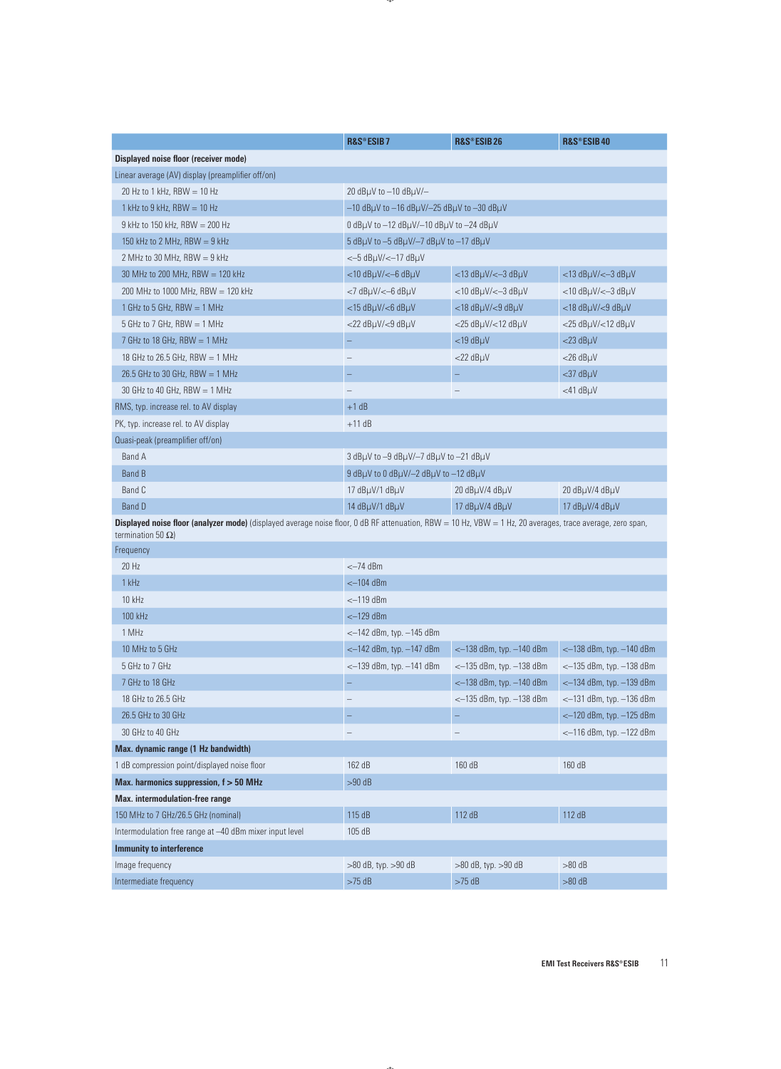|                                                                                                                                                                                                | R&S®ESIB7                                                                  | R&S®ESIB26                           | R&S®ESIB40                           |  |  |
|------------------------------------------------------------------------------------------------------------------------------------------------------------------------------------------------|----------------------------------------------------------------------------|--------------------------------------|--------------------------------------|--|--|
| Displayed noise floor (receiver mode)                                                                                                                                                          |                                                                            |                                      |                                      |  |  |
| Linear average (AV) display (preamplifier off/on)                                                                                                                                              |                                                                            |                                      |                                      |  |  |
| 20 Hz to 1 kHz, RBW $= 10$ Hz                                                                                                                                                                  | 20 $dB\mu V$ to $-10$ $dB\mu V$ /-                                         |                                      |                                      |  |  |
| 1 kHz to 9 kHz, RBW $= 10$ Hz                                                                                                                                                                  | $-10$ dB $\mu$ V to $-16$ dB $\mu$ V/ $-25$ dB $\mu$ V to $-30$ dB $\mu$ V |                                      |                                      |  |  |
| 9 kHz to 150 kHz, RBW $=$ 200 Hz                                                                                                                                                               | 0 dBµV to -12 dBµV/-10 dBµV to -24 dBµV                                    |                                      |                                      |  |  |
| 150 kHz to 2 MHz, RBW $= 9$ kHz                                                                                                                                                                | 5 dB $\mu$ V to -5 dB $\mu$ V/-7 dB $\mu$ V to -17 dB $\mu$ V              |                                      |                                      |  |  |
| 2 MHz to 30 MHz, RBW $= 9$ kHz                                                                                                                                                                 | $<-5$ dB $\mu$ V/ $<-17$ dB $\mu$ V                                        |                                      |                                      |  |  |
| 30 MHz to 200 MHz, RBW $= 120$ kHz                                                                                                                                                             | $<$ 10 dB $\mu$ V/ $<$ –6 dB $\mu$ V                                       | $<$ 13 dB $\mu$ V/ $<$ -3 dB $\mu$ V | $<$ 13 dB $\mu$ V/ $<$ -3 dB $\mu$ V |  |  |
| 200 MHz to 1000 MHz, RBW = 120 kHz                                                                                                                                                             | $<$ 7 dB $\mu$ V/ $<$ –6 dB $\mu$ V                                        | $<$ 10 dB $\mu$ V/ $<$ -3 dB $\mu$ V | $<$ 10 dB $\mu$ V/ $<$ -3 dB $\mu$ V |  |  |
| 1 GHz to 5 GHz, RBW $=$ 1 MHz                                                                                                                                                                  | <15 dBµV/<6 dBµV                                                           | $<$ 18 dB $\mu$ V/ $<$ 9 dB $\mu$ V  | $<$ 18 dB $\mu$ V/ $<$ 9 dB $\mu$ V  |  |  |
| 5 GHz to 7 GHz, RBW $=$ 1 MHz                                                                                                                                                                  | $<$ 22 dB $\mu$ V/ $<$ 9 dB $\mu$ V                                        | $<$ 25 dB $\mu$ V/ $<$ 12 dB $\mu$ V | $<$ 25 dB $\mu$ V/ $<$ 12 dB $\mu$ V |  |  |
| 7 GHz to 18 GHz, RBW = 1 MHz                                                                                                                                                                   |                                                                            | $<$ 19 dB $\mu$ V                    | $<$ 23 dB $\mu$ V                    |  |  |
| 18 GHz to 26.5 GHz, RBW $=$ 1 MHz                                                                                                                                                              | $\overline{\phantom{0}}$                                                   | $<$ 22 dB $\mu$ V                    | $<$ 26 dB $\mu$ V                    |  |  |
| 26.5 GHz to 30 GHz, RBW = 1 MHz                                                                                                                                                                | -                                                                          | -                                    | $<$ 37 dB $\mu$ V                    |  |  |
| 30 GHz to 40 GHz, RBW $= 1$ MHz                                                                                                                                                                |                                                                            |                                      | $<$ 41 dB $\mu$ V                    |  |  |
| RMS, typ. increase rel. to AV display                                                                                                                                                          | $+1$ dB                                                                    |                                      |                                      |  |  |
| PK, typ. increase rel. to AV display                                                                                                                                                           | $+11$ dB                                                                   |                                      |                                      |  |  |
| Quasi-peak (preamplifier off/on)                                                                                                                                                               |                                                                            |                                      |                                      |  |  |
| Band A                                                                                                                                                                                         | 3 dBµV to -9 dBµV/-7 dBµV to -21 dBµV                                      |                                      |                                      |  |  |
| <b>Band B</b>                                                                                                                                                                                  | 9 dBµV to 0 dBµV/-2 dBµV to -12 dBµV                                       |                                      |                                      |  |  |
| Band C                                                                                                                                                                                         | 17 dBµV/1 dBµV                                                             | 20 dBµV/4 dBµV                       | 20 dBµV/4 dBµV                       |  |  |
| <b>Band D</b>                                                                                                                                                                                  | 14 dBµV/1 dBµV                                                             | 17 dBµV/4 dBµV                       | 17 dBµV/4 dBµV                       |  |  |
| <b>Displayed noise floor (analyzer mode)</b> (displayed average noise floor, 0 dB RF attenuation, RBW = 10 Hz, VBW = 1 Hz, 20 averages, trace average, zero span,<br>termination 50 $\Omega$ ) |                                                                            |                                      |                                      |  |  |
| Frequency                                                                                                                                                                                      |                                                                            |                                      |                                      |  |  |
| 20 Hz                                                                                                                                                                                          | $<-74$ dBm                                                                 |                                      |                                      |  |  |
| 1 kHz                                                                                                                                                                                          | $<-104$ dBm                                                                |                                      |                                      |  |  |
| <b>10 kHz</b>                                                                                                                                                                                  | $<-119$ dBm                                                                |                                      |                                      |  |  |
| 100 kHz                                                                                                                                                                                        | $<-129$ dBm                                                                |                                      |                                      |  |  |
| 1 MHz                                                                                                                                                                                          | $<-142$ dBm, typ. $-145$ dBm                                               |                                      |                                      |  |  |
| 10 MHz to 5 GHz                                                                                                                                                                                | $<-142$ dBm, typ. $-147$ dBm                                               | $\sim$ 138 dBm, typ. $-140$ dBm      | $\sim$ -138 dBm, typ. $-140$ dBm     |  |  |
| 5 GHz to 7 GHz                                                                                                                                                                                 | $<-139$ dBm, typ. $-141$ dBm                                               | $<-135$ dBm, typ. $-138$ dBm         | <-135 dBm, typ. -138 dBm             |  |  |
| 7 GHz to 18 GHz                                                                                                                                                                                |                                                                            | $<-138$ dBm, typ. $-140$ dBm         | <-134 dBm, typ. -139 dBm             |  |  |
| 18 GHz to 26.5 GHz                                                                                                                                                                             | —                                                                          | $<-135$ dBm, typ. $-138$ dBm         | $<-131$ dBm, typ. $-136$ dBm         |  |  |
| 26.5 GHz to 30 GHz                                                                                                                                                                             |                                                                            |                                      | <-120 dBm, typ. -125 dBm             |  |  |
| 30 GHz to 40 GHz                                                                                                                                                                               |                                                                            | $\overline{\phantom{0}}$             | <-116 dBm, typ. -122 dBm             |  |  |
| Max. dynamic range (1 Hz bandwidth)                                                                                                                                                            |                                                                            |                                      |                                      |  |  |
| 1 dB compression point/displayed noise floor                                                                                                                                                   | 162 dB                                                                     | 160 dB                               | 160 dB                               |  |  |
| Max. harmonics suppression, $f > 50$ MHz                                                                                                                                                       | $>90$ dB                                                                   |                                      |                                      |  |  |
| Max. intermodulation-free range                                                                                                                                                                |                                                                            |                                      |                                      |  |  |
| 150 MHz to 7 GHz/26.5 GHz (nominal)                                                                                                                                                            | 115 dB                                                                     | 112 dB                               | 112 dB                               |  |  |
| Intermodulation free range at -40 dBm mixer input level                                                                                                                                        | 105 dB                                                                     |                                      |                                      |  |  |
| <b>Immunity to interference</b>                                                                                                                                                                |                                                                            |                                      |                                      |  |  |
| Image frequency                                                                                                                                                                                | $>80$ dB, typ. $>90$ dB                                                    | >80 dB, typ. >90 dB                  | $>80$ dB                             |  |  |
| Intermediate frequency                                                                                                                                                                         | >75 dB                                                                     | $>75$ dB                             | $>80$ dB                             |  |  |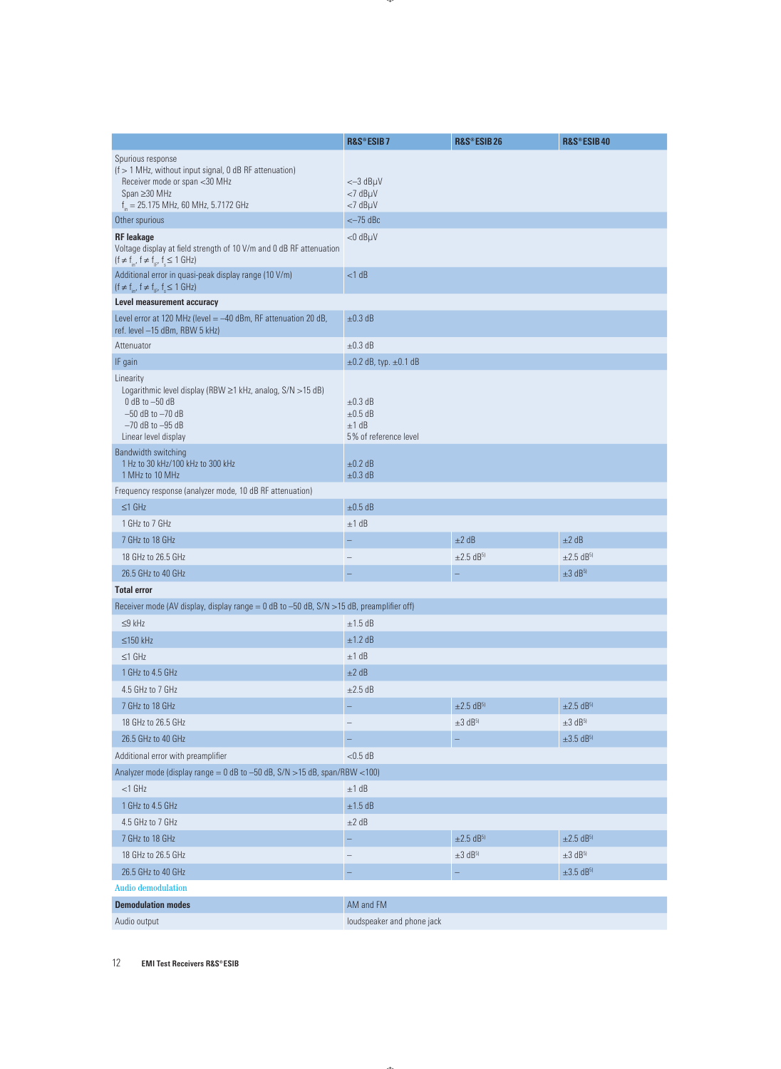|                                                                                                                                                                           | R&S®ESIB7                                                      | R&S®ESIB26                 | R&S®ESIB40                 |
|---------------------------------------------------------------------------------------------------------------------------------------------------------------------------|----------------------------------------------------------------|----------------------------|----------------------------|
| Spurious response<br>(f > 1 MHz, without input signal, 0 dB RF attenuation)<br>Receiver mode or span <30 MHz<br>Span ≥30 MHz<br>$f_{in}$ = 25.175 MHz, 60 MHz, 5.7172 GHz | $<-3$ dB $\mu$ V<br>$<$ 7 dB $\mu$ V<br>$<$ 7 dB $\mu$ V       |                            |                            |
| Other spurious                                                                                                                                                            | $<-75$ dBc                                                     |                            |                            |
| <b>RF</b> leakage<br>Voltage display at field strength of 10 V/m and 0 dB RF attenuation<br>$(f \neq f_{in'}\ f \neq f_{ir'}\ f_s \leq 1\ GHz)$                           | $<$ 0 dB $\mu$ V                                               |                            |                            |
| Additional error in quasi-peak display range (10 V/m)<br>$(f \neq f_{in'}\ f \neq f_{ir'}\ f_s \leq 1\ GHz)$                                                              | $<$ 1 dB                                                       |                            |                            |
| Level measurement accuracy                                                                                                                                                |                                                                |                            |                            |
| Level error at 120 MHz (level = -40 dBm, RF attenuation 20 dB,<br>ref. level -15 dBm, RBW 5 kHz)                                                                          | $\pm 0.3$ dB                                                   |                            |                            |
| Attenuator                                                                                                                                                                | $\pm 0.3$ dB                                                   |                            |                            |
| IF gain                                                                                                                                                                   | $\pm 0.2$ dB, typ. $\pm 0.1$ dB                                |                            |                            |
| Linearity<br>Logarithmic level display (RBW ≥1 kHz, analog, S/N > 15 dB)<br>$0$ dB to $-50$ dB<br>$-50$ dB to $-70$ dB<br>$-70$ dB to $-95$ dB<br>Linear level display    | $\pm 0.3$ dB<br>$\pm 0.5$ dB<br>±1 dB<br>5% of reference level |                            |                            |
| Bandwidth switching<br>1 Hz to 30 kHz/100 kHz to 300 kHz<br>1 MHz to 10 MHz                                                                                               | $±0.2$ dB<br>$\pm 0.3$ dB                                      |                            |                            |
| Frequency response (analyzer mode, 10 dB RF attenuation)                                                                                                                  |                                                                |                            |                            |
| $\leq$ 1 GHz                                                                                                                                                              | $±0.5$ dB                                                      |                            |                            |
| 1 GHz to 7 GHz                                                                                                                                                            | ±1 dB                                                          |                            |                            |
| 7 GHz to 18 GHz                                                                                                                                                           |                                                                | $\pm 2$ dB                 | $\pm 2$ dB                 |
| 18 GHz to 26.5 GHz                                                                                                                                                        |                                                                | $±2.5$ dB <sup>5)</sup>    | $\pm 2.5$ dB <sup>5)</sup> |
| 26.5 GHz to 40 GHz                                                                                                                                                        |                                                                |                            | $\pm 3$ dB <sup>5)</sup>   |
| <b>Total error</b>                                                                                                                                                        |                                                                |                            |                            |
| Receiver mode (AV display, display range = 0 dB to -50 dB, S/N >15 dB, preamplifier off)                                                                                  |                                                                |                            |                            |
| $\leq$ 9 kHz                                                                                                                                                              | $±1.5$ dB                                                      |                            |                            |
| $\leq$ 150 kHz                                                                                                                                                            | ±1.2 dB                                                        |                            |                            |
| $\leq$ 1 GHz                                                                                                                                                              | ±1 dB                                                          |                            |                            |
| 1 GHz to 4.5 GHz                                                                                                                                                          | ±2 dB                                                          |                            |                            |
| 4.5 GHz to 7 GHz                                                                                                                                                          | $\pm 2.5$ dB                                                   |                            |                            |
| 7 GHz to 18 GHz                                                                                                                                                           |                                                                | $\pm 2.5$ dB <sup>5)</sup> | $\pm 2.5$ dB <sup>5)</sup> |
| 18 GHz to 26.5 GHz                                                                                                                                                        |                                                                | $\pm 3$ dB <sup>5)</sup>   | $\pm 3$ dB <sup>5)</sup>   |
| 26.5 GHz to 40 GHz                                                                                                                                                        |                                                                |                            | $\pm 3.5$ dB5)             |
| Additional error with preamplifier                                                                                                                                        | $<$ 0.5 dB                                                     |                            |                            |
| Analyzer mode (display range = $0$ dB to -50 dB, $S/N > 15$ dB, span/RBW < 100)                                                                                           |                                                                |                            |                            |
| $<$ 1 GHz                                                                                                                                                                 | ±1 dB                                                          |                            |                            |
| 1 GHz to 4.5 GHz                                                                                                                                                          | $\pm 1.5$ dB                                                   |                            |                            |
| 4.5 GHz to 7 GHz                                                                                                                                                          | $\pm 2$ dB                                                     |                            |                            |
| 7 GHz to 18 GHz                                                                                                                                                           |                                                                | $\pm 2.5$ dB <sup>5)</sup> | $\pm 2.5$ dB <sup>5)</sup> |
| 18 GHz to 26.5 GHz                                                                                                                                                        | $\overline{\phantom{0}}$                                       | $\pm 3$ dB <sup>5)</sup>   | $\pm 3$ dB <sup>5)</sup>   |
| 26.5 GHz to 40 GHz                                                                                                                                                        |                                                                | -                          | $\pm 3.5$ dB <sup>5)</sup> |
| <b>Audio demodulation</b>                                                                                                                                                 |                                                                |                            |                            |
| <b>Demodulation modes</b>                                                                                                                                                 | AM and FM                                                      |                            |                            |
| Audio output                                                                                                                                                              | loudspeaker and phone jack                                     |                            |                            |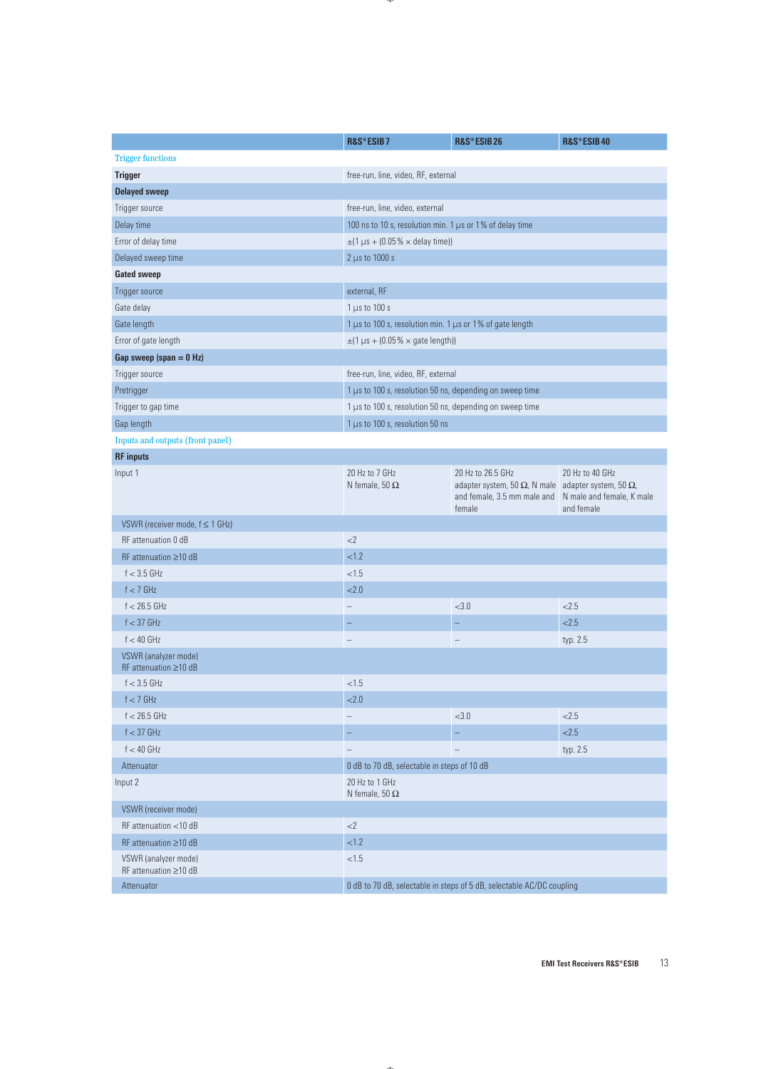|                                                     | R&S®ESIB7                                                             | R&S®ESIB26                                                                                                                                                 | R&S®ESIB40                    |  |  |
|-----------------------------------------------------|-----------------------------------------------------------------------|------------------------------------------------------------------------------------------------------------------------------------------------------------|-------------------------------|--|--|
| <b>Trigger functions</b>                            |                                                                       |                                                                                                                                                            |                               |  |  |
| <b>Trigger</b>                                      | free-run, line, video, RF, external                                   |                                                                                                                                                            |                               |  |  |
| <b>Delayed sweep</b>                                |                                                                       |                                                                                                                                                            |                               |  |  |
| Trigger source                                      | free-run, line, video, external                                       |                                                                                                                                                            |                               |  |  |
| Delay time                                          | 100 ns to 10 s, resolution min. 1 µs or 1% of delay time              |                                                                                                                                                            |                               |  |  |
| Error of delay time                                 | $\pm$ (1 µs + (0.05% × delay time))                                   |                                                                                                                                                            |                               |  |  |
| Delayed sweep time                                  | $2 \mu s$ to 1000 s                                                   |                                                                                                                                                            |                               |  |  |
| <b>Gated sweep</b>                                  |                                                                       |                                                                                                                                                            |                               |  |  |
| Trigger source                                      | external, RF                                                          |                                                                                                                                                            |                               |  |  |
| Gate delay                                          | $1 \mu s$ to 100 s                                                    |                                                                                                                                                            |                               |  |  |
| Gate length                                         | 1 µs to 100 s, resolution min. 1 µs or 1% of gate length              |                                                                                                                                                            |                               |  |  |
| Error of gate length                                | $\pm$ (1 µs + (0.05% × gate length))                                  |                                                                                                                                                            |                               |  |  |
| Gap sweep (span $= 0$ Hz)                           |                                                                       |                                                                                                                                                            |                               |  |  |
| Trigger source                                      | free-run, line, video, RF, external                                   |                                                                                                                                                            |                               |  |  |
| Pretrigger                                          | 1 µs to 100 s, resolution 50 ns, depending on sweep time              |                                                                                                                                                            |                               |  |  |
| Trigger to gap time                                 | 1 µs to 100 s, resolution 50 ns, depending on sweep time              |                                                                                                                                                            |                               |  |  |
| Gap length                                          | 1 µs to 100 s, resolution 50 ns                                       |                                                                                                                                                            |                               |  |  |
| Inputs and outputs (front panel)                    |                                                                       |                                                                                                                                                            |                               |  |  |
| <b>RF</b> inputs                                    |                                                                       |                                                                                                                                                            |                               |  |  |
| Input 1                                             | 20 Hz to 7 GHz<br>N female, 50 $\Omega$                               | 20 Hz to 26.5 GHz<br>adapter system, 50 $\Omega$ , N male adapter system, 50 $\Omega$ ,<br>and female, 3.5 mm male and N male and female, K male<br>female | 20 Hz to 40 GHz<br>and female |  |  |
| VSWR (receiver mode, $f \leq 1$ GHz)                |                                                                       |                                                                                                                                                            |                               |  |  |
| RF attenuation 0 dB                                 | <2                                                                    |                                                                                                                                                            |                               |  |  |
| RF attenuation $\geq$ 10 dB                         | < 1.2                                                                 |                                                                                                                                                            |                               |  |  |
| $f < 3.5$ GHz                                       | < 1.5                                                                 |                                                                                                                                                            |                               |  |  |
| $f < 7$ GHz                                         | < 2.0                                                                 |                                                                                                                                                            |                               |  |  |
| $f < 26.5$ GHz                                      |                                                                       | <3.0                                                                                                                                                       | 2.5                           |  |  |
| $f < 37$ GHz                                        |                                                                       |                                                                                                                                                            | 2.5                           |  |  |
| $f < 40$ GHz                                        |                                                                       |                                                                                                                                                            | typ. 2.5                      |  |  |
| VSWR (analyzer mode)<br>RF attenuation $\geq$ 10 dB |                                                                       |                                                                                                                                                            |                               |  |  |
| $f < 3.5$ GHz                                       | ${<}1.5$                                                              |                                                                                                                                                            |                               |  |  |
| $f < 7$ GHz                                         | < 2.0                                                                 |                                                                                                                                                            |                               |  |  |
| $f < 26.5$ GHz                                      |                                                                       | <3.0                                                                                                                                                       | < 2.5                         |  |  |
| $f < 37$ GHz                                        | -                                                                     | ÷                                                                                                                                                          | 2.5                           |  |  |
| $f < 40$ GHz                                        |                                                                       | $\overline{\phantom{0}}$                                                                                                                                   | typ. 2.5                      |  |  |
| Attenuator                                          | 0 dB to 70 dB, selectable in steps of 10 dB                           |                                                                                                                                                            |                               |  |  |
| Input 2                                             | 20 Hz to 1 GHz<br>N female, 50 $\Omega$                               |                                                                                                                                                            |                               |  |  |
| VSWR (receiver mode)                                |                                                                       |                                                                                                                                                            |                               |  |  |
| RF attenuation <10 dB                               | $<$ 2                                                                 |                                                                                                                                                            |                               |  |  |
| RF attenuation ≥10 dB                               | < 1.2                                                                 |                                                                                                                                                            |                               |  |  |
| VSWR (analyzer mode)<br>RF attenuation ≥10 dB       | $<1.5$                                                                |                                                                                                                                                            |                               |  |  |
| Attenuator                                          | 0 dB to 70 dB, selectable in steps of 5 dB, selectable AC/DC coupling |                                                                                                                                                            |                               |  |  |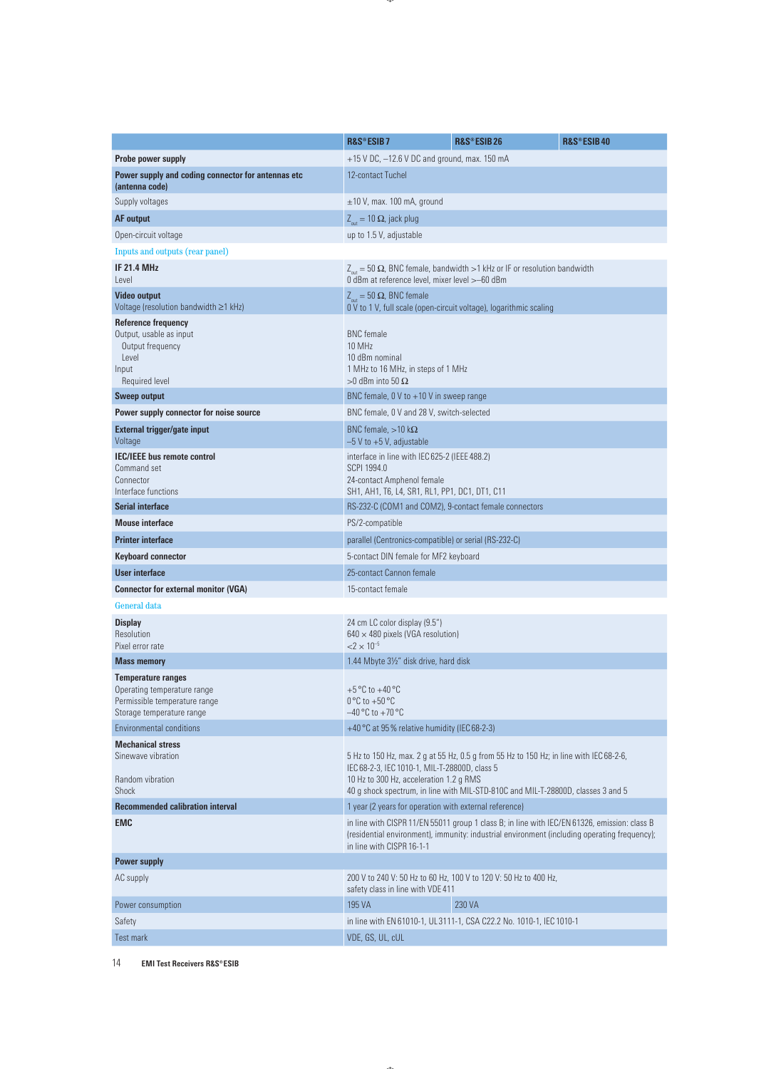|                                                                                                                        | R&S®ESIB7                                                                                                                                                                                                                 | R&S®ESIB26                                                           | R&S®ESIB40 |  |  |
|------------------------------------------------------------------------------------------------------------------------|---------------------------------------------------------------------------------------------------------------------------------------------------------------------------------------------------------------------------|----------------------------------------------------------------------|------------|--|--|
| Probe power supply                                                                                                     | +15 V DC, -12.6 V DC and ground, max. 150 mA                                                                                                                                                                              |                                                                      |            |  |  |
| Power supply and coding connector for antennas etc<br>(antenna code)                                                   | 12-contact Tuchel                                                                                                                                                                                                         |                                                                      |            |  |  |
| Supply voltages                                                                                                        | $\pm$ 10 V, max. 100 mA, ground                                                                                                                                                                                           |                                                                      |            |  |  |
| <b>AF</b> output                                                                                                       | $Z_{\text{out}} = 10 \Omega$ , jack plug                                                                                                                                                                                  |                                                                      |            |  |  |
| Open-circuit voltage                                                                                                   | up to 1.5 V, adjustable                                                                                                                                                                                                   |                                                                      |            |  |  |
| Inputs and outputs (rear panel)                                                                                        |                                                                                                                                                                                                                           |                                                                      |            |  |  |
| <b>IF 21.4 MHz</b><br>Level                                                                                            | $Z_{\text{out}} = 50 \Omega$ , BNC female, bandwidth > 1 kHz or IF or resolution bandwidth<br>0 dBm at reference level, mixer level > -60 dBm                                                                             |                                                                      |            |  |  |
| <b>Video output</b><br>Voltage (resolution bandwidth ≥1 kHz)                                                           | $Z_{\text{out}} = 50 \Omega$ , BNC female<br>0 V to 1 V, full scale (open-circuit voltage), logarithmic scaling                                                                                                           |                                                                      |            |  |  |
| <b>Reference frequency</b><br>Output, usable as input<br>Output frequency<br>Level<br>Input<br>Required level          | <b>BNC</b> female<br>10 MHz<br>10 dBm nominal<br>1 MHz to 16 MHz, in steps of 1 MHz<br>$>0$ dBm into 50 $\Omega$                                                                                                          |                                                                      |            |  |  |
| <b>Sweep output</b>                                                                                                    | BNC female, 0 V to +10 V in sweep range                                                                                                                                                                                   |                                                                      |            |  |  |
| Power supply connector for noise source                                                                                | BNC female, 0 V and 28 V, switch-selected                                                                                                                                                                                 |                                                                      |            |  |  |
| External trigger/gate input<br>Voltage                                                                                 | BNC female, $>10$ k $\Omega$<br>$-5$ V to $+5$ V, adjustable                                                                                                                                                              |                                                                      |            |  |  |
| <b>IEC/IEEE</b> bus remote control<br>Command set<br>Connector<br>Interface functions                                  | interface in line with IEC 625-2 (IEEE 488.2)<br>SCPI 1994.0<br>24-contact Amphenol female<br>SH1, AH1, T6, L4, SR1, RL1, PP1, DC1, DT1, C11                                                                              |                                                                      |            |  |  |
| <b>Serial interface</b>                                                                                                | RS-232-C (COM1 and COM2), 9-contact female connectors                                                                                                                                                                     |                                                                      |            |  |  |
| <b>Mouse interface</b>                                                                                                 | PS/2-compatible                                                                                                                                                                                                           |                                                                      |            |  |  |
| <b>Printer interface</b>                                                                                               | parallel (Centronics-compatible) or serial (RS-232-C)                                                                                                                                                                     |                                                                      |            |  |  |
| <b>Keyboard connector</b>                                                                                              | 5-contact DIN female for MF2 keyboard                                                                                                                                                                                     |                                                                      |            |  |  |
| User interface                                                                                                         | 25-contact Cannon female                                                                                                                                                                                                  |                                                                      |            |  |  |
| <b>Connector for external monitor (VGA)</b>                                                                            | 15-contact female                                                                                                                                                                                                         |                                                                      |            |  |  |
| General data                                                                                                           |                                                                                                                                                                                                                           |                                                                      |            |  |  |
| <b>Display</b><br>Resolution<br>Pixel error rate                                                                       | 24 cm LC color display (9.5")<br>$640 \times 480$ pixels (VGA resolution)<br>$<$ 2 $\times$ 10 <sup>-5</sup>                                                                                                              |                                                                      |            |  |  |
| <b>Mass memory</b>                                                                                                     | 1.44 Mbyte 31/2" disk drive, hard disk                                                                                                                                                                                    |                                                                      |            |  |  |
| <b>Temperature ranges</b><br>Operating temperature range<br>Permissible temperature range<br>Storage temperature range | +5 °C to +40 °C<br>$0^{\circ}$ C to +50 $^{\circ}$ C<br>$-40\,^{\circ}$ C to $+70\,^{\circ}$ C                                                                                                                            |                                                                      |            |  |  |
| <b>Environmental conditions</b>                                                                                        | +40 °C at 95% relative humidity (IEC 68-2-3)                                                                                                                                                                              |                                                                      |            |  |  |
| <b>Mechanical stress</b><br>Sinewave vibration<br>Random vibration<br>Shock                                            | 5 Hz to 150 Hz, max. 2 g at 55 Hz, 0.5 g from 55 Hz to 150 Hz; in line with IEC 68-2-6,<br>IEC 68-2-3, IEC 1010-1, MIL-T-28800D, class 5<br>10 Hz to 300 Hz, acceleration 1.2 g RMS                                       |                                                                      |            |  |  |
| <b>Recommended calibration interval</b>                                                                                | 40 g shock spectrum, in line with MIL-STD-810C and MIL-T-28800D, classes 3 and 5<br>1 year (2 years for operation with external reference)                                                                                |                                                                      |            |  |  |
| <b>EMC</b>                                                                                                             | in line with CISPR 11/EN 55011 group 1 class B; in line with IEC/EN 61326, emission: class B<br>(residential environment), immunity: industrial environment (including operating frequency);<br>in line with CISPR 16-1-1 |                                                                      |            |  |  |
| <b>Power supply</b>                                                                                                    |                                                                                                                                                                                                                           |                                                                      |            |  |  |
| AC supply                                                                                                              | safety class in line with VDE 411                                                                                                                                                                                         | 200 V to 240 V: 50 Hz to 60 Hz, 100 V to 120 V: 50 Hz to 400 Hz,     |            |  |  |
| Power consumption                                                                                                      | 195 VA                                                                                                                                                                                                                    | 230 VA                                                               |            |  |  |
| Safety                                                                                                                 |                                                                                                                                                                                                                           | in line with EN 61010-1, UL 3111-1, CSA C22.2 No. 1010-1, IEC 1010-1 |            |  |  |
| <b>Test mark</b>                                                                                                       | VDE, GS, UL, cUL                                                                                                                                                                                                          |                                                                      |            |  |  |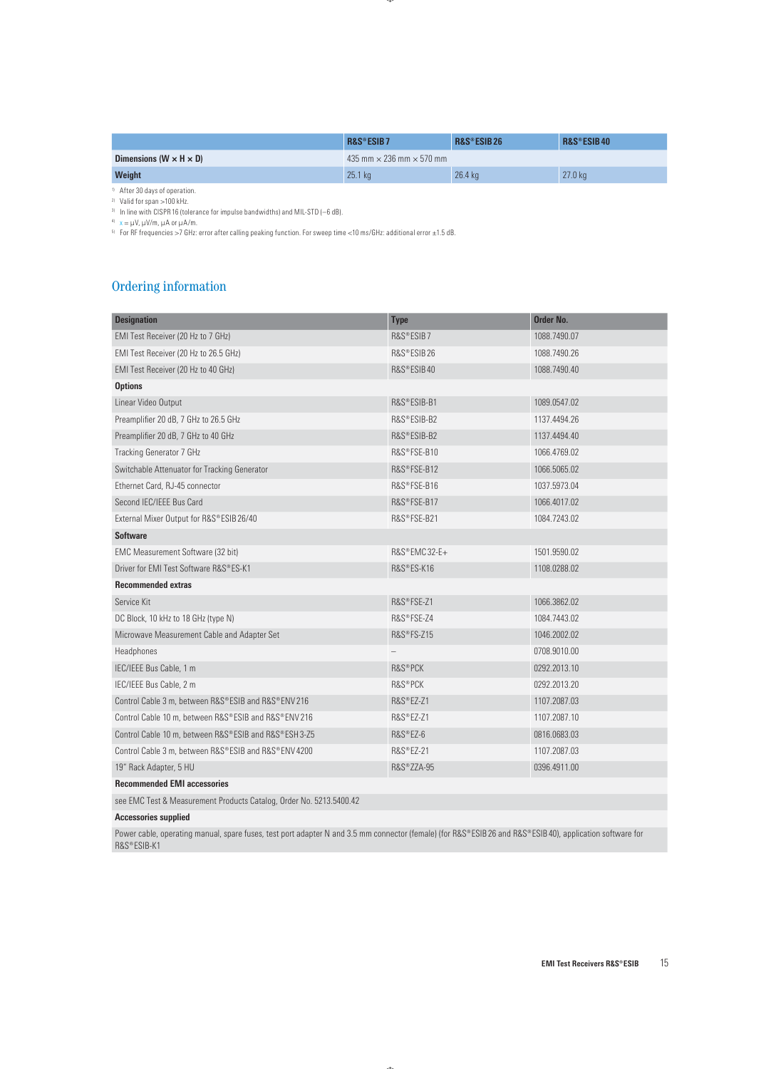|                                      | R&S®ESIB7                              | R&S®ESIB26 | R&S®ESIB40 |  |
|--------------------------------------|----------------------------------------|------------|------------|--|
| Dimensions ( $W \times H \times D$ ) | 435 mm $\times$ 236 mm $\times$ 570 mm |            |            |  |
| <b>Weight</b>                        | 25.1 kg                                | $26.4$ kg  | $27.0$ kg  |  |

1) After 30 days of operation.

2) Valid for span >100 kHz.

3) In line with CISPR 16 (tolerance for impulse bandwidths) and MIL-STD (–6 dB).

4) x = μV, μV/m, μA or μA/m.

 $^{51}$  For RF frequencies >7 GHz: error after calling peaking function. For sweep time <10 ms/GHz: additional error  $\pm 1.5$  dB.

# Ordering information

| <b>Designation</b>                                                  | <b>Type</b>  | Order No.    |
|---------------------------------------------------------------------|--------------|--------------|
| EMI Test Receiver (20 Hz to 7 GHz)                                  | R&S®ESIB7    | 1088.7490.07 |
| EMI Test Receiver (20 Hz to 26.5 GHz)                               | R&S®ESIB26   | 1088.7490.26 |
| EMI Test Receiver (20 Hz to 40 GHz)                                 | R&S®ESIB40   | 1088.7490.40 |
| <b>Options</b>                                                      |              |              |
| Linear Video Output                                                 | R&S®ESIB-B1  | 1089.0547.02 |
| Preamplifier 20 dB, 7 GHz to 26.5 GHz                               | R&S®ESIB-B2  | 1137.4494.26 |
| Preamplifier 20 dB, 7 GHz to 40 GHz                                 | R&S®ESIB-B2  | 1137.4494.40 |
| <b>Tracking Generator 7 GHz</b>                                     | R&S®FSE-B10  | 1066.4769.02 |
| Switchable Attenuator for Tracking Generator                        | R&S®FSE-B12  | 1066.5065.02 |
| Ethernet Card, RJ-45 connector                                      | R&S®FSE-B16  | 1037.5973.04 |
| Second IEC/IEEE Bus Card                                            | R&S®FSE-B17  | 1066.4017.02 |
| External Mixer Output for R&S®ESIB 26/40                            | R&S®FSE-B21  | 1084.7243.02 |
| <b>Software</b>                                                     |              |              |
| EMC Measurement Software (32 bit)                                   | R&S®EMC32-E+ | 1501.9590.02 |
| Driver for EMI Test Software R&S®ES-K1                              | R&S®ES-K16   | 1108.0288.02 |
| <b>Recommended extras</b>                                           |              |              |
| Service Kit                                                         | R&S®FSE-Z1   | 1066.3862.02 |
| DC Block, 10 kHz to 18 GHz (type N)                                 | R&S®FSE-Z4   | 1084.7443.02 |
| Microwave Measurement Cable and Adapter Set                         | R&S®FS-Z15   | 1046.2002.02 |
| Headphones                                                          |              | 0708.9010.00 |
| IEC/IEEE Bus Cable, 1 m                                             | R&S®PCK      | 0292.2013.10 |
| IEC/IEEE Bus Cable, 2 m                                             | R&S®PCK      | 0292.2013.20 |
| Control Cable 3 m, between R&S®ESIB and R&S®ENV 216                 | R&S®EZ-Z1    | 1107.2087.03 |
| Control Cable 10 m, between R&S®ESIB and R&S®ENV216                 | R&S®EZ-Z1    | 1107.2087.10 |
| Control Cable 10 m, between R&S®ESIB and R&S®ESH 3-Z5               | R&S®EZ-6     | 0816.0683.03 |
| Control Cable 3 m, between R&S®ESIB and R&S®ENV 4200                | R&S®EZ-21    | 1107.2087.03 |
| 19" Rack Adapter, 5 HU                                              | R&S®ZZA-95   | 0396.4911.00 |
| <b>Recommended EMI accessories</b>                                  |              |              |
| see EMC Test & Measurement Products Catalog, Order No. 5213.5400.42 |              |              |

**Accessories supplied**

Power cable, operating manual, spare fuses, test port adapter N and 3.5 mm connector (female) (for R&S®ESIB 26 and R&S®ESIB 40), application software for R&S®ESIB-K1